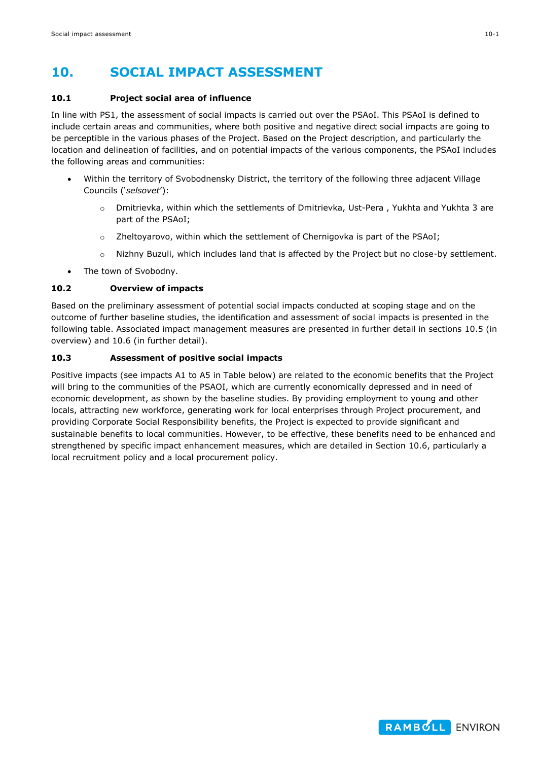## **10. SOCIAL IMPACT ASSESSMENT**

#### **10.1 Project social area of influence**

In line with PS1, the assessment of social impacts is carried out over the PSAoI. This PSAoI is defined to include certain areas and communities, where both positive and negative direct social impacts are going to be perceptible in the various phases of the Project. Based on the Project description, and particularly the location and delineation of facilities, and on potential impacts of the various components, the PSAoI includes the following areas and communities:

- Within the territory of Svobodnensky District, the territory of the following three adjacent Village Councils ('*selsovet*'):
	- o Dmitrievka, within which the settlements of Dmitrievka, Ust-Pera , Yukhta and Yukhta 3 are part of the PSAoI;
	- o Zheltoyarovo, within which the settlement of Chernigovka is part of the PSAoI;
	- o Nizhny Buzuli, which includes land that is affected by the Project but no close-by settlement.
- The town of Svobodny.

## **10.2 Overview of impacts**

Based on the preliminary assessment of potential social impacts conducted at scoping stage and on the outcome of further baseline studies, the identification and assessment of social impacts is presented in the following table. Associated impact management measures are presented in further detail in sections [10.5](#page-5-0) (in overview) and [10.6](#page-12-0) (in further detail).

## **10.3 Assessment of positive social impacts**

Positive impacts (see impacts A1 to A5 in Table below) are related to the economic benefits that the Project will bring to the communities of the PSAOI, which are currently economically depressed and in need of economic development, as shown by the baseline studies. By providing employment to young and other locals, attracting new workforce, generating work for local enterprises through Project procurement, and providing Corporate Social Responsibility benefits, the Project is expected to provide significant and sustainable benefits to local communities. However, to be effective, these benefits need to be enhanced and strengthened by specific impact enhancement measures, which are detailed in Section [10.6,](#page-12-0) particularly a local recruitment policy and a local procurement policy.

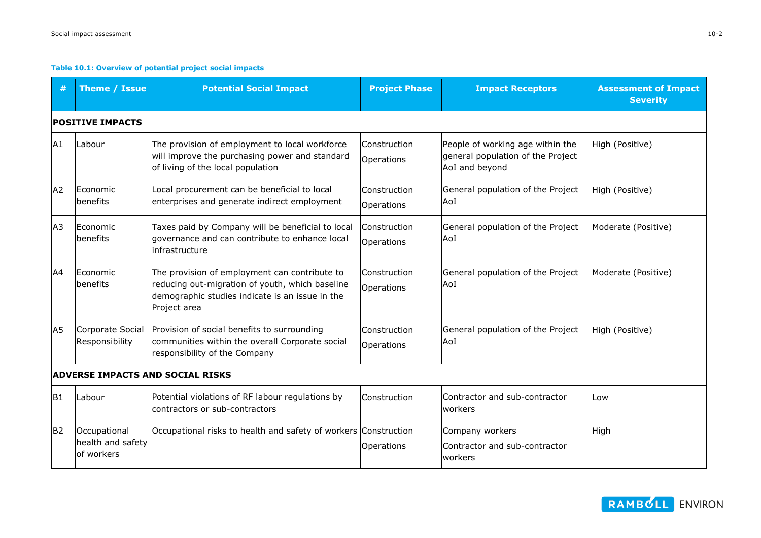#### **Table 10.1: Overview of potential project social impacts**

| #              | Theme / Issue                                   | <b>Potential Social Impact</b>                                                                                                                                      | <b>Project Phase</b>       | <b>Impact Receptors</b>                                                                 | <b>Assessment of Impact</b><br><b>Severity</b> |  |
|----------------|-------------------------------------------------|---------------------------------------------------------------------------------------------------------------------------------------------------------------------|----------------------------|-----------------------------------------------------------------------------------------|------------------------------------------------|--|
|                | <b>POSITIVE IMPACTS</b>                         |                                                                                                                                                                     |                            |                                                                                         |                                                |  |
| A <sub>1</sub> | Labour                                          | The provision of employment to local workforce<br>will improve the purchasing power and standard<br>of living of the local population                               | Construction<br>Operations | People of working age within the<br>general population of the Project<br>AoI and beyond | High (Positive)                                |  |
| A <sub>2</sub> | <b>IEconomic</b><br>benefits                    | Local procurement can be beneficial to local<br>enterprises and generate indirect employment                                                                        | Construction<br>Operations | General population of the Project<br>AoI                                                | High (Positive)                                |  |
| A <sub>3</sub> | <b>IEconomic</b><br><b>benefits</b>             | Taxes paid by Company will be beneficial to local<br>governance and can contribute to enhance local<br>infrastructure                                               | Construction<br>Operations | General population of the Project<br>AoI                                                | Moderate (Positive)                            |  |
| A <sup>4</sup> | Economic<br>benefits                            | The provision of employment can contribute to<br>reducing out-migration of youth, which baseline<br>demographic studies indicate is an issue in the<br>Project area | Construction<br>Operations | General population of the Project<br>AoI                                                | Moderate (Positive)                            |  |
| A <sub>5</sub> | Corporate Social<br>Responsibility              | Provision of social benefits to surrounding<br>communities within the overall Corporate social<br>responsibility of the Company                                     | Construction<br>Operations | General population of the Project<br>AoI                                                | High (Positive)                                |  |
|                |                                                 | <b>ADVERSE IMPACTS AND SOCIAL RISKS</b>                                                                                                                             |                            |                                                                                         |                                                |  |
| <b>B1</b>      | Labour                                          | Potential violations of RF labour regulations by<br>contractors or sub-contractors                                                                                  | Construction               | Contractor and sub-contractor<br>lworkers                                               | Low                                            |  |
| B <sub>2</sub> | Occupational<br>health and safety<br>of workers | Occupational risks to health and safety of workers                                                                                                                  | Construction<br>Operations | Company workers<br>Contractor and sub-contractor<br>lworkers                            | High                                           |  |

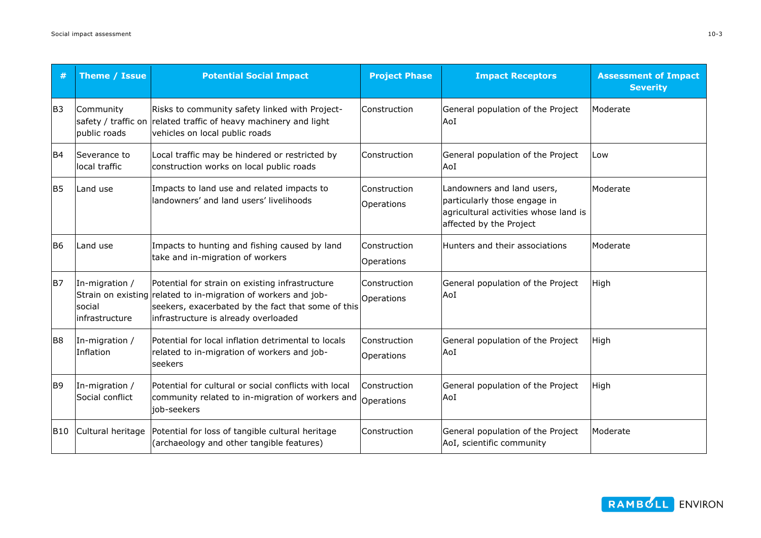|                | Theme / Issue                              | <b>Potential Social Impact</b>                                                                                                                                                                                  | <b>Project Phase</b>       | <b>Impact Receptors</b>                                                                                                        | <b>Assessment of Impact</b><br><b>Severity</b> |
|----------------|--------------------------------------------|-----------------------------------------------------------------------------------------------------------------------------------------------------------------------------------------------------------------|----------------------------|--------------------------------------------------------------------------------------------------------------------------------|------------------------------------------------|
| B <sub>3</sub> | Community<br>public roads                  | Risks to community safety linked with Project-<br>safety / traffic on related traffic of heavy machinery and light<br>vehicles on local public roads                                                            | Construction               | General population of the Project<br>AoI                                                                                       | Moderate                                       |
| B <sub>4</sub> | Severance to<br>local traffic              | Local traffic may be hindered or restricted by<br>construction works on local public roads                                                                                                                      | Construction               | General population of the Project<br>AoI                                                                                       | Low                                            |
| <b>B5</b>      | Land use                                   | Impacts to land use and related impacts to<br>landowners' and land users' livelihoods                                                                                                                           | Construction<br>Operations | Landowners and land users,<br>particularly those engage in<br>agricultural activities whose land is<br>affected by the Project | Moderate                                       |
| <b>B6</b>      | Land use                                   | Impacts to hunting and fishing caused by land<br>take and in-migration of workers                                                                                                                               | Construction<br>Operations | Hunters and their associations                                                                                                 | Moderate                                       |
| <b>B7</b>      | In-migration /<br>social<br>infrastructure | Potential for strain on existing infrastructure<br>Strain on existing related to in-migration of workers and job-<br>seekers, exacerbated by the fact that some of this<br>infrastructure is already overloaded | Construction<br>Operations | General population of the Project<br>AoI                                                                                       | High                                           |
| B <sub>8</sub> | In-migration /<br>Inflation                | Potential for local inflation detrimental to locals<br>related to in-migration of workers and job-<br>seekers                                                                                                   | Construction<br>Operations | General population of the Project<br>AoI                                                                                       | High                                           |
| B <sub>9</sub> | In-migration /<br>Social conflict          | Potential for cultural or social conflicts with local<br>community related to in-migration of workers and<br>job-seekers                                                                                        | Construction<br>Operations | General population of the Project<br>AoI                                                                                       | High                                           |
| B10            | Cultural heritage                          | Potential for loss of tangible cultural heritage<br>(archaeology and other tangible features)                                                                                                                   | Construction               | General population of the Project<br>AoI, scientific community                                                                 | Moderate                                       |

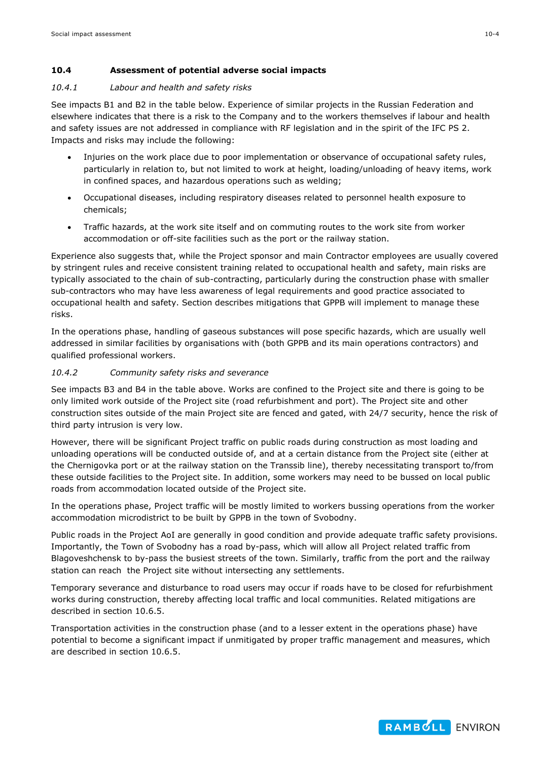## **10.4 Assessment of potential adverse social impacts**

#### *10.4.1 Labour and health and safety risks*

See impacts B1 and B2 in the table below. Experience of similar projects in the Russian Federation and elsewhere indicates that there is a risk to the Company and to the workers themselves if labour and health and safety issues are not addressed in compliance with RF legislation and in the spirit of the IFC PS 2. Impacts and risks may include the following:

- Injuries on the work place due to poor implementation or observance of occupational safety rules, particularly in relation to, but not limited to work at height, loading/unloading of heavy items, work in confined spaces, and hazardous operations such as welding;
- Occupational diseases, including respiratory diseases related to personnel health exposure to chemicals;
- Traffic hazards, at the work site itself and on commuting routes to the work site from worker accommodation or off-site facilities such as the port or the railway station.

Experience also suggests that, while the Project sponsor and main Contractor employees are usually covered by stringent rules and receive consistent training related to occupational health and safety, main risks are typically associated to the chain of sub-contracting, particularly during the construction phase with smaller sub-contractors who may have less awareness of legal requirements and good practice associated to occupational health and safety. Section describes mitigations that GPPB will implement to manage these risks.

In the operations phase, handling of gaseous substances will pose specific hazards, which are usually well addressed in similar facilities by organisations with (both GPPB and its main operations contractors) and qualified professional workers.

## *10.4.2 Community safety risks and severance*

See impacts B3 and B4 in the table above. Works are confined to the Project site and there is going to be only limited work outside of the Project site (road refurbishment and port). The Project site and other construction sites outside of the main Project site are fenced and gated, with 24/7 security, hence the risk of third party intrusion is very low.

However, there will be significant Project traffic on public roads during construction as most loading and unloading operations will be conducted outside of, and at a certain distance from the Project site (either at the Chernigovka port or at the railway station on the Transsib line), thereby necessitating transport to/from these outside facilities to the Project site. In addition, some workers may need to be bussed on local public roads from accommodation located outside of the Project site.

In the operations phase, Project traffic will be mostly limited to workers bussing operations from the worker accommodation microdistrict to be built by GPPB in the town of Svobodny.

Public roads in the Project AoI are generally in good condition and provide adequate traffic safety provisions. Importantly, the Town of Svobodny has a road by-pass, which will allow all Project related traffic from Blagoveshchensk to by-pass the busiest streets of the town. Similarly, traffic from the port and the railway station can reach the Project site without intersecting any settlements.

Temporary severance and disturbance to road users may occur if roads have to be closed for refurbishment works during construction, thereby affecting local traffic and local communities. Related mitigations are described in section [10.6.5.](#page-13-0)

Transportation activities in the construction phase (and to a lesser extent in the operations phase) have potential to become a significant impact if unmitigated by proper traffic management and measures, which are described in section [10.6.5.](#page-13-0)

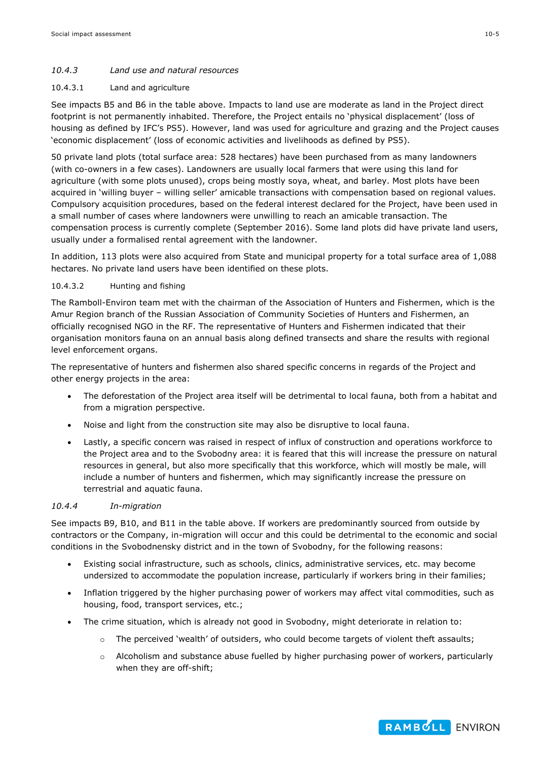## *10.4.3 Land use and natural resources*

#### 10.4.3.1 Land and agriculture

See impacts B5 and B6 in the table above. Impacts to land use are moderate as land in the Project direct footprint is not permanently inhabited. Therefore, the Project entails no 'physical displacement' (loss of housing as defined by IFC's PS5). However, land was used for agriculture and grazing and the Project causes 'economic displacement' (loss of economic activities and livelihoods as defined by PS5).

50 private land plots (total surface area: 528 hectares) have been purchased from as many landowners (with co-owners in a few cases). Landowners are usually local farmers that were using this land for agriculture (with some plots unused), crops being mostly soya, wheat, and barley. Most plots have been acquired in 'willing buyer – willing seller' amicable transactions with compensation based on regional values. Compulsory acquisition procedures, based on the federal interest declared for the Project, have been used in a small number of cases where landowners were unwilling to reach an amicable transaction. The compensation process is currently complete (September 2016). Some land plots did have private land users, usually under a formalised rental agreement with the landowner.

In addition, 113 plots were also acquired from State and municipal property for a total surface area of 1,088 hectares. No private land users have been identified on these plots.

#### 10.4.3.2 Hunting and fishing

The Ramboll-Environ team met with the chairman of the Association of Hunters and Fishermen, which is the Amur Region branch of the Russian Association of Community Societies of Hunters and Fishermen, an officially recognised NGO in the RF. The representative of Hunters and Fishermen indicated that their organisation monitors fauna on an annual basis along defined transects and share the results with regional level enforcement organs.

The representative of hunters and fishermen also shared specific concerns in regards of the Project and other energy projects in the area:

- The deforestation of the Project area itself will be detrimental to local fauna, both from a habitat and from a migration perspective.
- Noise and light from the construction site may also be disruptive to local fauna.
- Lastly, a specific concern was raised in respect of influx of construction and operations workforce to the Project area and to the Svobodny area: it is feared that this will increase the pressure on natural resources in general, but also more specifically that this workforce, which will mostly be male, will include a number of hunters and fishermen, which may significantly increase the pressure on terrestrial and aquatic fauna.

#### *10.4.4 In-migration*

See impacts B9, B10, and B11 in the table above. If workers are predominantly sourced from outside by contractors or the Company, in-migration will occur and this could be detrimental to the economic and social conditions in the Svobodnensky district and in the town of Svobodny, for the following reasons:

- Existing social infrastructure, such as schools, clinics, administrative services, etc. may become undersized to accommodate the population increase, particularly if workers bring in their families;
- Inflation triggered by the higher purchasing power of workers may affect vital commodities, such as housing, food, transport services, etc.;
- The crime situation, which is already not good in Svobodny, might deteriorate in relation to:
	- $\circ$  The perceived 'wealth' of outsiders, who could become targets of violent theft assaults;
	- $\circ$  Alcoholism and substance abuse fuelled by higher purchasing power of workers, particularly when they are off-shift;

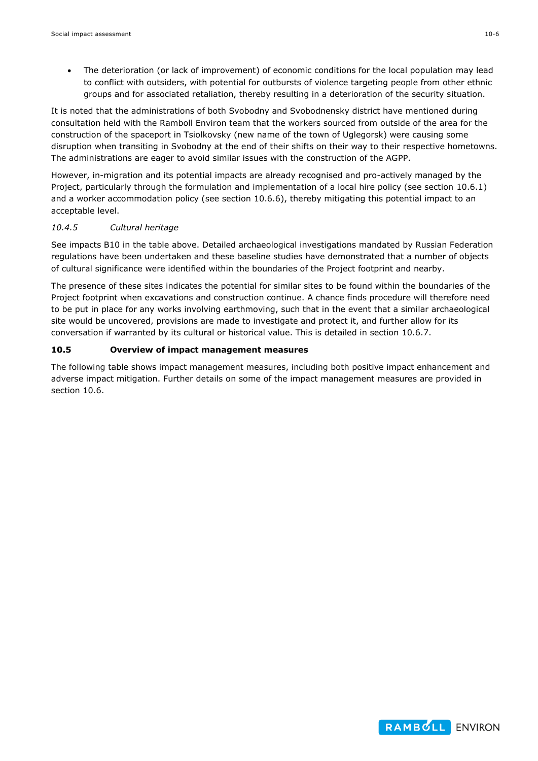The deterioration (or lack of improvement) of economic conditions for the local population may lead to conflict with outsiders, with potential for outbursts of violence targeting people from other ethnic groups and for associated retaliation, thereby resulting in a deterioration of the security situation.

It is noted that the administrations of both Svobodny and Svobodnensky district have mentioned during consultation held with the Ramboll Environ team that the workers sourced from outside of the area for the construction of the spaceport in Tsiolkovsky (new name of the town of Uglegorsk) were causing some disruption when transiting in Svobodny at the end of their shifts on their way to their respective hometowns. The administrations are eager to avoid similar issues with the construction of the AGPP.

However, in-migration and its potential impacts are already recognised and pro-actively managed by the Project, particularly through the formulation and implementation of a local hire policy (see section [10.6.1\)](#page-12-1) and a worker accommodation policy (see section [10.6.6\)](#page-14-0), thereby mitigating this potential impact to an acceptable level.

#### *10.4.5 Cultural heritage*

See impacts B10 in the table above. Detailed archaeological investigations mandated by Russian Federation regulations have been undertaken and these baseline studies have demonstrated that a number of objects of cultural significance were identified within the boundaries of the Project footprint and nearby.

The presence of these sites indicates the potential for similar sites to be found within the boundaries of the Project footprint when excavations and construction continue. A chance finds procedure will therefore need to be put in place for any works involving earthmoving, such that in the event that a similar archaeological site would be uncovered, provisions are made to investigate and protect it, and further allow for its conversation if warranted by its cultural or historical value. This is detailed in section [10.6.7.](#page-14-1)

## <span id="page-5-0"></span>**10.5 Overview of impact management measures**

The following table shows impact management measures, including both positive impact enhancement and adverse impact mitigation. Further details on some of the impact management measures are provided in section [10.6.](#page-12-0)

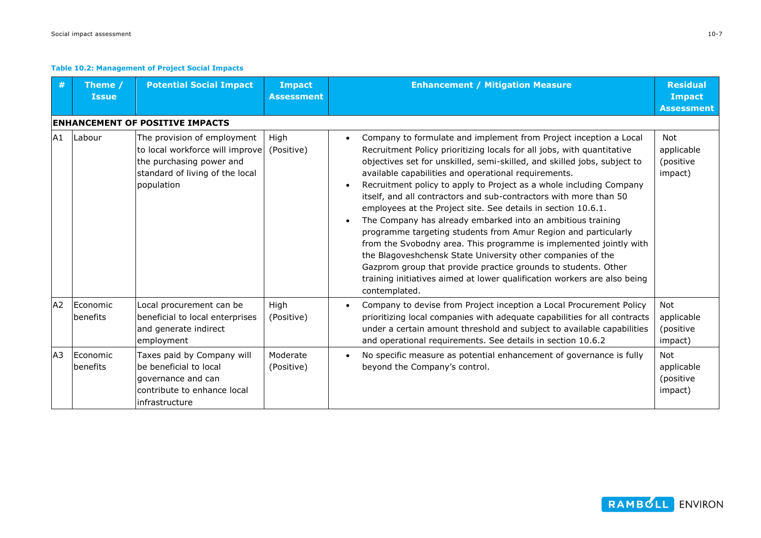#### **Table 10.2: Management of Project Social Impacts**

| #              | Theme /<br><b>Issue</b>      | <b>Potential Social Impact</b>                                                                                                              | <b>Impact</b><br><b>Assessment</b> | <b>Enhancement / Mitigation Measure</b>                                                                                                                                                                                                                                                                                                                                                                                                                                                                                                                                                                                                                                                                                                                                                                                                                                                                                           | <b>Residual</b><br><b>Impact</b><br><b>Assessment</b> |
|----------------|------------------------------|---------------------------------------------------------------------------------------------------------------------------------------------|------------------------------------|-----------------------------------------------------------------------------------------------------------------------------------------------------------------------------------------------------------------------------------------------------------------------------------------------------------------------------------------------------------------------------------------------------------------------------------------------------------------------------------------------------------------------------------------------------------------------------------------------------------------------------------------------------------------------------------------------------------------------------------------------------------------------------------------------------------------------------------------------------------------------------------------------------------------------------------|-------------------------------------------------------|
|                |                              | <b>ENHANCEMENT OF POSITIVE IMPACTS</b>                                                                                                      |                                    |                                                                                                                                                                                                                                                                                                                                                                                                                                                                                                                                                                                                                                                                                                                                                                                                                                                                                                                                   |                                                       |
| A1             | Labour                       | The provision of employment<br>to local workforce will improve<br>the purchasing power and<br>standard of living of the local<br>population | High<br>(Positive)                 | Company to formulate and implement from Project inception a Local<br>Recruitment Policy prioritizing locals for all jobs, with quantitative<br>objectives set for unskilled, semi-skilled, and skilled jobs, subject to<br>available capabilities and operational requirements.<br>Recruitment policy to apply to Project as a whole including Company<br>itself, and all contractors and sub-contractors with more than 50<br>employees at the Project site. See details in section 10.6.1.<br>The Company has already embarked into an ambitious training<br>programme targeting students from Amur Region and particularly<br>from the Svobodny area. This programme is implemented jointly with<br>the Blagoveshchensk State University other companies of the<br>Gazprom group that provide practice grounds to students. Other<br>training initiatives aimed at lower qualification workers are also being<br>contemplated. | <b>Not</b><br>applicable<br>(positive<br>impact)      |
| A2             | <b>IEconomic</b><br>benefits | Local procurement can be<br>beneficial to local enterprises<br>and generate indirect<br>employment                                          | High<br>(Positive)                 | Company to devise from Project inception a Local Procurement Policy<br>prioritizing local companies with adequate capabilities for all contracts<br>under a certain amount threshold and subject to available capabilities<br>and operational requirements. See details in section 10.6.2                                                                                                                                                                                                                                                                                                                                                                                                                                                                                                                                                                                                                                         | Not<br>applicable<br>(positive<br>impact)             |
| A <sub>3</sub> | Economic<br>benefits         | Taxes paid by Company will<br>lbe beneficial to local<br>qovernance and can<br>contribute to enhance local<br>infrastructure                | Moderate<br>(Positive)             | No specific measure as potential enhancement of governance is fully<br>beyond the Company's control.                                                                                                                                                                                                                                                                                                                                                                                                                                                                                                                                                                                                                                                                                                                                                                                                                              | <b>Not</b><br>applicable<br>(positive<br>impact)      |

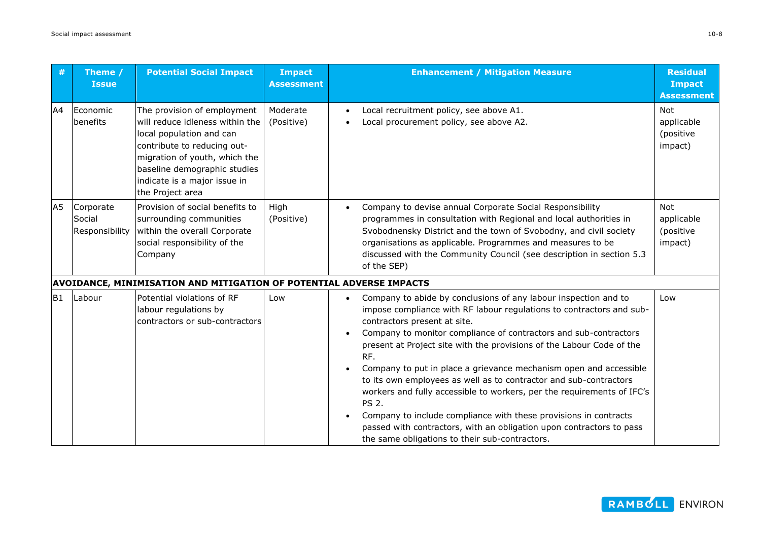| #              | Theme /<br><b>Issue</b>               | <b>Potential Social Impact</b>                                                                                                                                                                                                                 | <b>Impact</b><br><b>Assessment</b> | <b>Enhancement / Mitigation Measure</b>                                                                                                                                                                                                                                                                                                                                                                                                                                                                                                                                                                                                                                                                                                                       | <b>Residual</b><br><b>Impact</b><br><b>Assessment</b> |
|----------------|---------------------------------------|------------------------------------------------------------------------------------------------------------------------------------------------------------------------------------------------------------------------------------------------|------------------------------------|---------------------------------------------------------------------------------------------------------------------------------------------------------------------------------------------------------------------------------------------------------------------------------------------------------------------------------------------------------------------------------------------------------------------------------------------------------------------------------------------------------------------------------------------------------------------------------------------------------------------------------------------------------------------------------------------------------------------------------------------------------------|-------------------------------------------------------|
| A4             | Economic<br>benefits                  | The provision of employment<br>will reduce idleness within the<br>local population and can<br>contribute to reducing out-<br>migration of youth, which the<br>baseline demographic studies<br>indicate is a major issue in<br>the Project area | Moderate<br>(Positive)             | Local recruitment policy, see above A1.<br>Local procurement policy, see above A2.                                                                                                                                                                                                                                                                                                                                                                                                                                                                                                                                                                                                                                                                            | <b>Not</b><br>applicable<br>(positive<br>impact)      |
| A <sub>5</sub> | Corporate<br>Social<br>Responsibility | Provision of social benefits to<br>surrounding communities<br>within the overall Corporate<br>social responsibility of the<br>Company                                                                                                          | High<br>(Positive)                 | Company to devise annual Corporate Social Responsibility<br>programmes in consultation with Regional and local authorities in<br>Svobodnensky District and the town of Svobodny, and civil society<br>organisations as applicable. Programmes and measures to be<br>discussed with the Community Council (see description in section 5.3<br>of the SEP)                                                                                                                                                                                                                                                                                                                                                                                                       | Not<br>applicable<br>(positive<br>impact)             |
|                |                                       | AVOIDANCE, MINIMISATION AND MITIGATION OF POTENTIAL ADVERSE IMPACTS                                                                                                                                                                            |                                    |                                                                                                                                                                                                                                                                                                                                                                                                                                                                                                                                                                                                                                                                                                                                                               |                                                       |
| B <sub>1</sub> | Labour                                | Potential violations of RF<br>labour regulations by<br>contractors or sub-contractors                                                                                                                                                          | Low                                | Company to abide by conclusions of any labour inspection and to<br>impose compliance with RF labour regulations to contractors and sub-<br>contractors present at site.<br>Company to monitor compliance of contractors and sub-contractors<br>present at Project site with the provisions of the Labour Code of the<br>RF.<br>Company to put in place a grievance mechanism open and accessible<br>to its own employees as well as to contractor and sub-contractors<br>workers and fully accessible to workers, per the requirements of IFC's<br><b>PS 2.</b><br>Company to include compliance with these provisions in contracts<br>passed with contractors, with an obligation upon contractors to pass<br>the same obligations to their sub-contractors. | Low                                                   |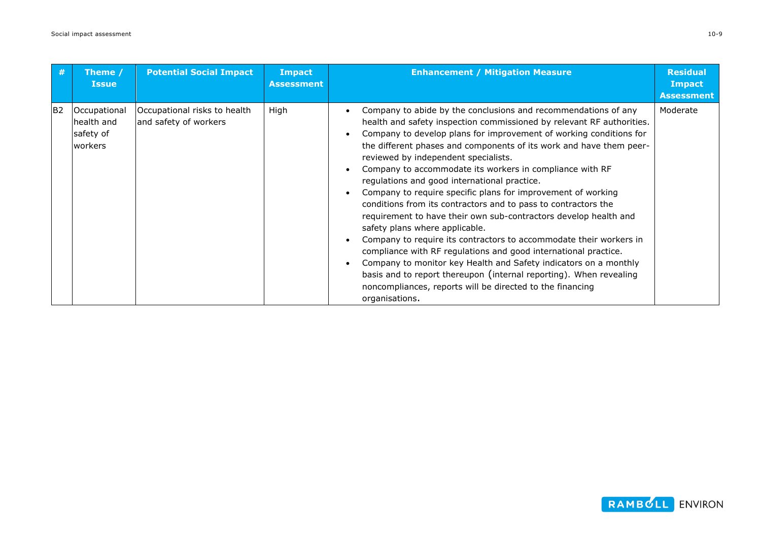| #               | Theme /<br><b>Issue</b>                             | <b>Potential Social Impact</b>                        | <b>Impact</b><br><b>Assessment</b> | <b>Enhancement / Mitigation Measure</b>                                                                                                                                                                                                                                                                                                                                                                                                                                                                                                                                                                                                                                                                                                                                                                                                                                                                                                                                                                                                            | <b>Residual</b><br><b>Impact</b><br><b>Assessment</b> |
|-----------------|-----------------------------------------------------|-------------------------------------------------------|------------------------------------|----------------------------------------------------------------------------------------------------------------------------------------------------------------------------------------------------------------------------------------------------------------------------------------------------------------------------------------------------------------------------------------------------------------------------------------------------------------------------------------------------------------------------------------------------------------------------------------------------------------------------------------------------------------------------------------------------------------------------------------------------------------------------------------------------------------------------------------------------------------------------------------------------------------------------------------------------------------------------------------------------------------------------------------------------|-------------------------------------------------------|
| IB <sub>2</sub> | Occupational<br>health and<br>safety of<br>lworkers | Occupational risks to health<br>and safety of workers | High                               | Company to abide by the conclusions and recommendations of any<br>health and safety inspection commissioned by relevant RF authorities.<br>Company to develop plans for improvement of working conditions for<br>the different phases and components of its work and have them peer-<br>reviewed by independent specialists.<br>Company to accommodate its workers in compliance with RF<br>regulations and good international practice.<br>Company to require specific plans for improvement of working<br>conditions from its contractors and to pass to contractors the<br>requirement to have their own sub-contractors develop health and<br>safety plans where applicable.<br>Company to require its contractors to accommodate their workers in<br>compliance with RF regulations and good international practice.<br>Company to monitor key Health and Safety indicators on a monthly<br>basis and to report thereupon (internal reporting). When revealing<br>noncompliances, reports will be directed to the financing<br>organisations. | Moderate                                              |

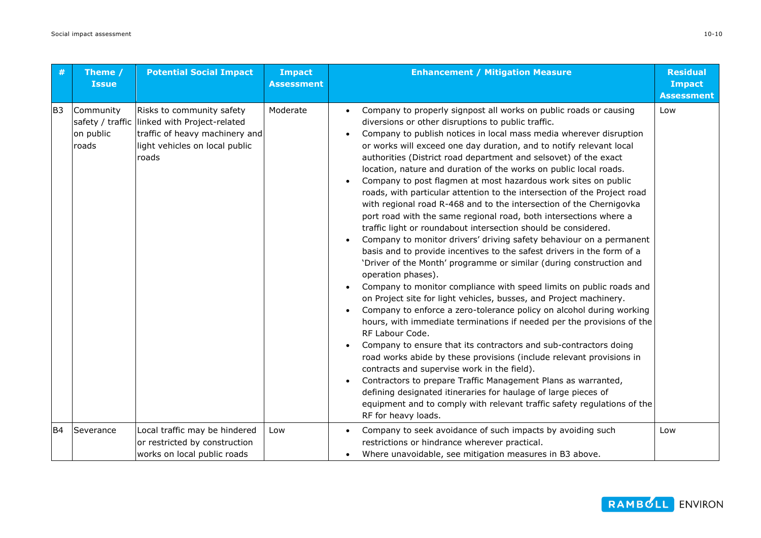| #              | Theme /<br><b>Issue</b>         | <b>Potential Social Impact</b>                                                                                                                         | <b>Impact</b><br><b>Assessment</b> | <b>Enhancement / Mitigation Measure</b>                                                                                                                                                                                                                                                                                                                                                                                                                                                                                                                                                                                                                                                                                                                                                                                                                                                                                                                                                                                                                                                                                                                                                                                                                                                                                                                                                                                                                                                                                                                                                                                                                                                                                                                                   | <b>Residual</b><br><b>Impact</b><br><b>Assessment</b> |
|----------------|---------------------------------|--------------------------------------------------------------------------------------------------------------------------------------------------------|------------------------------------|---------------------------------------------------------------------------------------------------------------------------------------------------------------------------------------------------------------------------------------------------------------------------------------------------------------------------------------------------------------------------------------------------------------------------------------------------------------------------------------------------------------------------------------------------------------------------------------------------------------------------------------------------------------------------------------------------------------------------------------------------------------------------------------------------------------------------------------------------------------------------------------------------------------------------------------------------------------------------------------------------------------------------------------------------------------------------------------------------------------------------------------------------------------------------------------------------------------------------------------------------------------------------------------------------------------------------------------------------------------------------------------------------------------------------------------------------------------------------------------------------------------------------------------------------------------------------------------------------------------------------------------------------------------------------------------------------------------------------------------------------------------------------|-------------------------------------------------------|
| IB3            | Community<br>on public<br>roads | Risks to community safety<br>safety / traffic linked with Project-related<br>traffic of heavy machinery and<br>light vehicles on local public<br>roads | Moderate                           | Company to properly signpost all works on public roads or causing<br>diversions or other disruptions to public traffic.<br>Company to publish notices in local mass media wherever disruption<br>or works will exceed one day duration, and to notify relevant local<br>authorities (District road department and selsovet) of the exact<br>location, nature and duration of the works on public local roads.<br>Company to post flagmen at most hazardous work sites on public<br>roads, with particular attention to the intersection of the Project road<br>with regional road R-468 and to the intersection of the Chernigovka<br>port road with the same regional road, both intersections where a<br>traffic light or roundabout intersection should be considered.<br>Company to monitor drivers' driving safety behaviour on a permanent<br>basis and to provide incentives to the safest drivers in the form of a<br>'Driver of the Month' programme or similar (during construction and<br>operation phases).<br>Company to monitor compliance with speed limits on public roads and<br>on Project site for light vehicles, busses, and Project machinery.<br>Company to enforce a zero-tolerance policy on alcohol during working<br>hours, with immediate terminations if needed per the provisions of the<br>RF Labour Code.<br>Company to ensure that its contractors and sub-contractors doing<br>road works abide by these provisions (include relevant provisions in<br>contracts and supervise work in the field).<br>Contractors to prepare Traffic Management Plans as warranted,<br>defining designated itineraries for haulage of large pieces of<br>equipment and to comply with relevant traffic safety regulations of the<br>RF for heavy loads. | Low                                                   |
| B <sub>4</sub> | Severance                       | Local traffic may be hindered<br>or restricted by construction<br>works on local public roads                                                          | Low                                | Company to seek avoidance of such impacts by avoiding such<br>restrictions or hindrance wherever practical.<br>Where unavoidable, see mitigation measures in B3 above.                                                                                                                                                                                                                                                                                                                                                                                                                                                                                                                                                                                                                                                                                                                                                                                                                                                                                                                                                                                                                                                                                                                                                                                                                                                                                                                                                                                                                                                                                                                                                                                                    | Low                                                   |

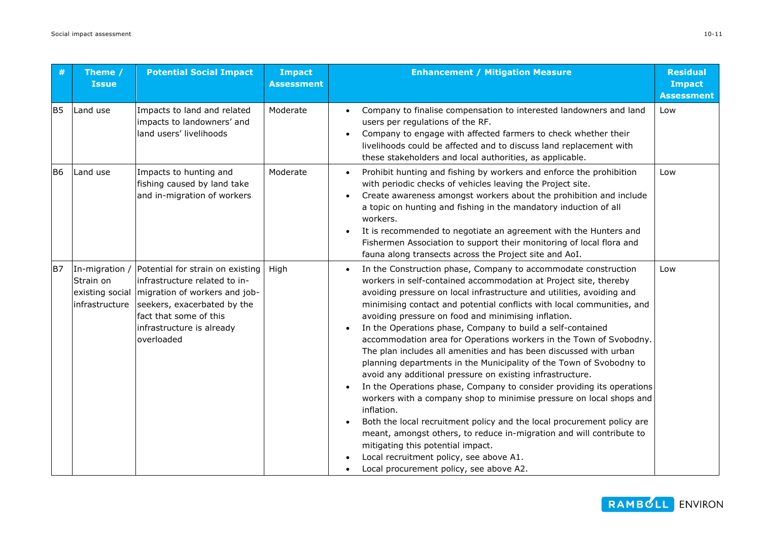| #              | Theme /<br><b>Issue</b>                                          | <b>Potential Social Impact</b>                                                                                                                                                                         | <b>Impact</b><br><b>Assessment</b> | <b>Enhancement / Mitigation Measure</b>                                                                                                                                                                                                                                                                                                                                                                                                                                                                                                                                                                                                                                                                                                                                                                                                                                                                                                                                                                                                                                                                                              | <b>Residual</b><br><b>Impact</b><br><b>Assessment</b> |
|----------------|------------------------------------------------------------------|--------------------------------------------------------------------------------------------------------------------------------------------------------------------------------------------------------|------------------------------------|--------------------------------------------------------------------------------------------------------------------------------------------------------------------------------------------------------------------------------------------------------------------------------------------------------------------------------------------------------------------------------------------------------------------------------------------------------------------------------------------------------------------------------------------------------------------------------------------------------------------------------------------------------------------------------------------------------------------------------------------------------------------------------------------------------------------------------------------------------------------------------------------------------------------------------------------------------------------------------------------------------------------------------------------------------------------------------------------------------------------------------------|-------------------------------------------------------|
| B <sub>5</sub> | Land use                                                         | Impacts to land and related<br>impacts to landowners' and<br>land users' livelihoods                                                                                                                   | Moderate                           | Company to finalise compensation to interested landowners and land<br>users per regulations of the RF.<br>Company to engage with affected farmers to check whether their<br>livelihoods could be affected and to discuss land replacement with<br>these stakeholders and local authorities, as applicable.                                                                                                                                                                                                                                                                                                                                                                                                                                                                                                                                                                                                                                                                                                                                                                                                                           | Low                                                   |
| B <sub>6</sub> | Land use                                                         | Impacts to hunting and<br>fishing caused by land take<br>and in-migration of workers                                                                                                                   | Moderate                           | Prohibit hunting and fishing by workers and enforce the prohibition<br>$\bullet$<br>with periodic checks of vehicles leaving the Project site.<br>Create awareness amongst workers about the prohibition and include<br>a topic on hunting and fishing in the mandatory induction of all<br>workers.<br>It is recommended to negotiate an agreement with the Hunters and<br>Fishermen Association to support their monitoring of local flora and<br>fauna along transects across the Project site and AoI.                                                                                                                                                                                                                                                                                                                                                                                                                                                                                                                                                                                                                           | Low                                                   |
| B7             | In-migration /<br>Strain on<br>existing social<br>infrastructure | Potential for strain on existing<br>infrastructure related to in-<br>migration of workers and job-<br>seekers, exacerbated by the<br>fact that some of this<br>infrastructure is already<br>overloaded | High                               | In the Construction phase, Company to accommodate construction<br>workers in self-contained accommodation at Project site, thereby<br>avoiding pressure on local infrastructure and utilities, avoiding and<br>minimising contact and potential conflicts with local communities, and<br>avoiding pressure on food and minimising inflation.<br>In the Operations phase, Company to build a self-contained<br>accommodation area for Operations workers in the Town of Svobodny.<br>The plan includes all amenities and has been discussed with urban<br>planning departments in the Municipality of the Town of Svobodny to<br>avoid any additional pressure on existing infrastructure.<br>In the Operations phase, Company to consider providing its operations<br>workers with a company shop to minimise pressure on local shops and<br>inflation.<br>Both the local recruitment policy and the local procurement policy are<br>meant, amongst others, to reduce in-migration and will contribute to<br>mitigating this potential impact.<br>Local recruitment policy, see above A1.<br>Local procurement policy, see above A2. | Low                                                   |

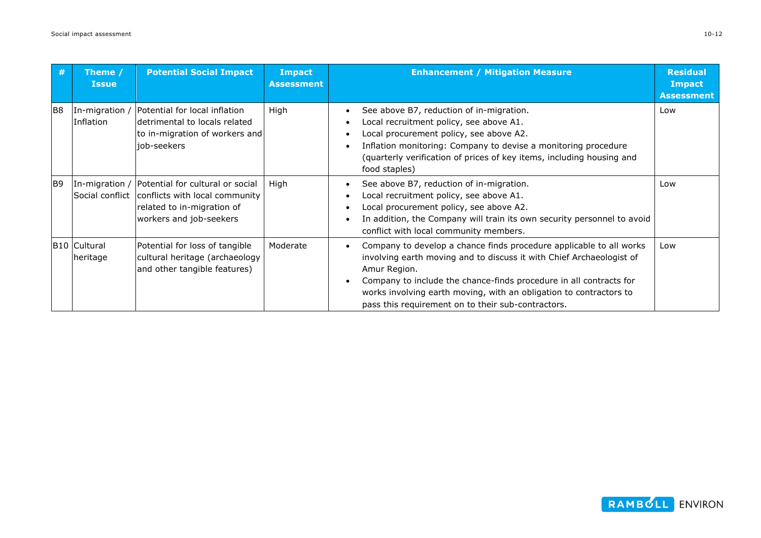| #              | Theme /<br><b>Issue</b>         | <b>Potential Social Impact</b>                                                                                                                             | <b>Impact</b><br><b>Assessment</b> | <b>Enhancement / Mitigation Measure</b>                                                                                                                                                                                                                                                                                                                       | <b>Residual</b><br><b>Impact</b><br><b>Assessment</b> |
|----------------|---------------------------------|------------------------------------------------------------------------------------------------------------------------------------------------------------|------------------------------------|---------------------------------------------------------------------------------------------------------------------------------------------------------------------------------------------------------------------------------------------------------------------------------------------------------------------------------------------------------------|-------------------------------------------------------|
| IB8            | In-migration /<br>Inflation     | Potential for local inflation<br>ldetrimental to locals related<br>to in-migration of workers and<br>iob-seekers                                           | High                               | See above B7, reduction of in-migration.<br>$\bullet$<br>Local recruitment policy, see above A1.<br>Local procurement policy, see above A2.<br>Inflation monitoring: Company to devise a monitoring procedure<br>(quarterly verification of prices of key items, including housing and<br>food staples)                                                       | Low                                                   |
| B <sub>9</sub> |                                 | In-migration / Potential for cultural or social<br>Social conflict conflicts with local community<br>related to in-migration of<br>workers and job-seekers | High                               | See above B7, reduction of in-migration.<br>٠<br>Local recruitment policy, see above A1.<br>Local procurement policy, see above A2.<br>In addition, the Company will train its own security personnel to avoid<br>conflict with local community members.                                                                                                      | Low                                                   |
|                | <b>B10 Cultural</b><br>heritage | Potential for loss of tangible<br>cultural heritage (archaeology<br>and other tangible features)                                                           | Moderate                           | Company to develop a chance finds procedure applicable to all works<br>involving earth moving and to discuss it with Chief Archaeologist of<br>Amur Region.<br>Company to include the chance-finds procedure in all contracts for<br>works involving earth moving, with an obligation to contractors to<br>pass this requirement on to their sub-contractors. | Low                                                   |



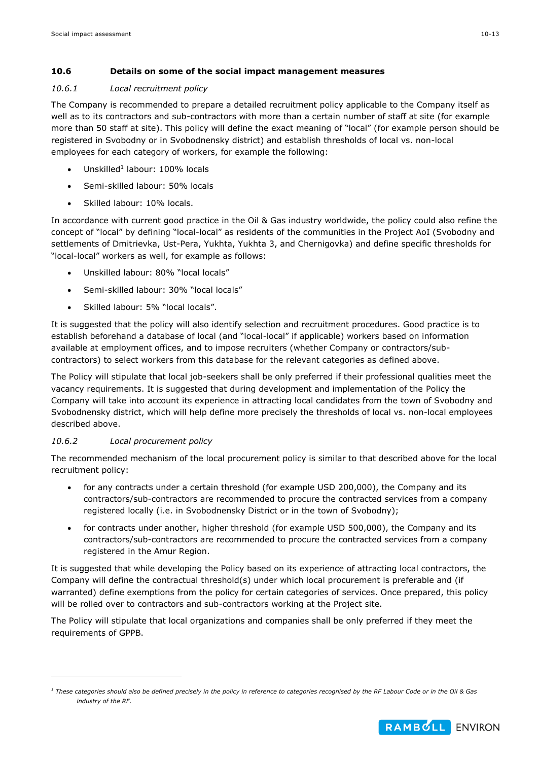## <span id="page-12-2"></span><span id="page-12-0"></span>**10.6 Details on some of the social impact management measures**

## <span id="page-12-1"></span>*10.6.1 Local recruitment policy*

The Company is recommended to prepare a detailed recruitment policy applicable to the Company itself as well as to its contractors and sub-contractors with more than a certain number of staff at site (for example more than 50 staff at site). This policy will define the exact meaning of "local" (for example person should be registered in Svobodny or in Svobodnensky district) and establish thresholds of local vs. non-local employees for each category of workers, for example the following:

- Unskilled<sup>1</sup> labour: 100% locals
- Semi-skilled labour: 50% locals
- Skilled labour: 10% locals.

<span id="page-12-3"></span>In accordance with current good practice in the Oil & Gas industry worldwide, the policy could also refine the concept of "local" by defining "local-local" as residents of the communities in the Project AoI (Svobodny and settlements of Dmitrievka, Ust-Pera, Yukhta, Yukhta 3, and Chernigovka) and define specific thresholds for "local-local" workers as well, for example as follows:

- Unskilled labour: 80% "local locals"
- Semi-skilled labour: 30% "local locals"
- Skilled labour: 5% "local locals".

It is suggested that the policy will also identify selection and recruitment procedures. Good practice is to establish beforehand a database of local (and "local-local" if applicable) workers based on information available at employment offices, and to impose recruiters (whether Company or contractors/subcontractors) to select workers from this database for the relevant categories as defined above.

The Policy will stipulate that local job-seekers shall be only preferred if their professional qualities meet the vacancy requirements. It is suggested that during development and implementation of the Policy the Company will take into account its experience in attracting local candidates from the town of Svobodny and Svobodnensky district, which will help define more precisely the thresholds of local vs. non-local employees described above.

## *10.6.2 Local procurement policy*

-

The recommended mechanism of the local procurement policy is similar to that described above for the local recruitment policy:

- for any contracts under a certain threshold (for example USD 200,000), the Company and its contractors/sub-contractors are recommended to procure the contracted services from a company registered locally (i.e. in Svobodnensky District or in the town of Svobodny);
- for contracts under another, higher threshold (for example USD 500,000), the Company and its contractors/sub-contractors are recommended to procure the contracted services from a company registered in the Amur Region.

It is suggested that while developing the Policy based on its experience of attracting local contractors, the Company will define the contractual threshold(s) under which local procurement is preferable and (if warranted) define exemptions from the policy for certain categories of services. Once prepared, this policy will be rolled over to contractors and sub-contractors working at the Project site.

The Policy will stipulate that local organizations and companies shall be only preferred if they meet the requirements of GPPB.



*<sup>1</sup> These categories should also be defined precisely in the policy in reference to categories recognised by the RF Labour Code or in the Oil & Gas industry of the RF.*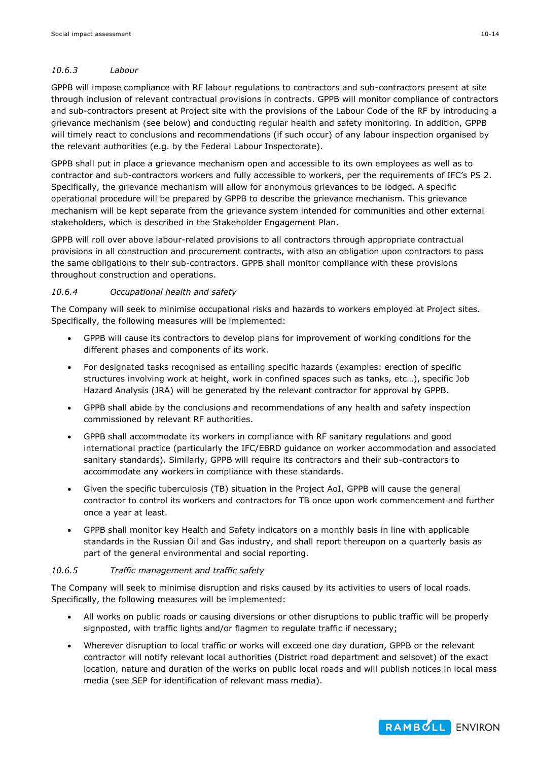## *10.6.3 Labour*

GPPB will impose compliance with RF labour regulations to contractors and sub-contractors present at site through inclusion of relevant contractual provisions in contracts. GPPB will monitor compliance of contractors and sub-contractors present at Project site with the provisions of the Labour Code of the RF by introducing a grievance mechanism (see below) and conducting regular health and safety monitoring. In addition, GPPB will timely react to conclusions and recommendations (if such occur) of any labour inspection organised by the relevant authorities (e.g. by the Federal Labour Inspectorate).

GPPB shall put in place a grievance mechanism open and accessible to its own employees as well as to contractor and sub-contractors workers and fully accessible to workers, per the requirements of IFC's PS 2. Specifically, the grievance mechanism will allow for anonymous grievances to be lodged. A specific operational procedure will be prepared by GPPB to describe the grievance mechanism. This grievance mechanism will be kept separate from the grievance system intended for communities and other external stakeholders, which is described in the Stakeholder Engagement Plan.

GPPB will roll over above labour-related provisions to all contractors through appropriate contractual provisions in all construction and procurement contracts, with also an obligation upon contractors to pass the same obligations to their sub-contractors. GPPB shall monitor compliance with these provisions throughout construction and operations.

## *10.6.4 Occupational health and safety*

The Company will seek to minimise occupational risks and hazards to workers employed at Project sites. Specifically, the following measures will be implemented:

- GPPB will cause its contractors to develop plans for improvement of working conditions for the different phases and components of its work.
- For designated tasks recognised as entailing specific hazards (examples: erection of specific structures involving work at height, work in confined spaces such as tanks, etc…), specific Job Hazard Analysis (JRA) will be generated by the relevant contractor for approval by GPPB.
- GPPB shall abide by the conclusions and recommendations of any health and safety inspection commissioned by relevant RF authorities.
- GPPB shall accommodate its workers in compliance with RF sanitary regulations and good international practice (particularly the IFC/EBRD guidance on worker accommodation and associated sanitary standards). Similarly, GPPB will require its contractors and their sub-contractors to accommodate any workers in compliance with these standards.
- Given the specific tuberculosis (TB) situation in the Project AoI, GPPB will cause the general contractor to control its workers and contractors for TB once upon work commencement and further once a year at least.
- GPPB shall monitor key Health and Safety indicators on a monthly basis in line with applicable standards in the Russian Oil and Gas industry, and shall report thereupon on a quarterly basis as part of the general environmental and social reporting.

#### <span id="page-13-0"></span>*10.6.5 Traffic management and traffic safety*

The Company will seek to minimise disruption and risks caused by its activities to users of local roads. Specifically, the following measures will be implemented:

- All works on public roads or causing diversions or other disruptions to public traffic will be properly signposted, with traffic lights and/or flagmen to regulate traffic if necessary;
- Wherever disruption to local traffic or works will exceed one day duration, GPPB or the relevant contractor will notify relevant local authorities (District road department and selsovet) of the exact location, nature and duration of the works on public local roads and will publish notices in local mass media (see SEP for identification of relevant mass media).

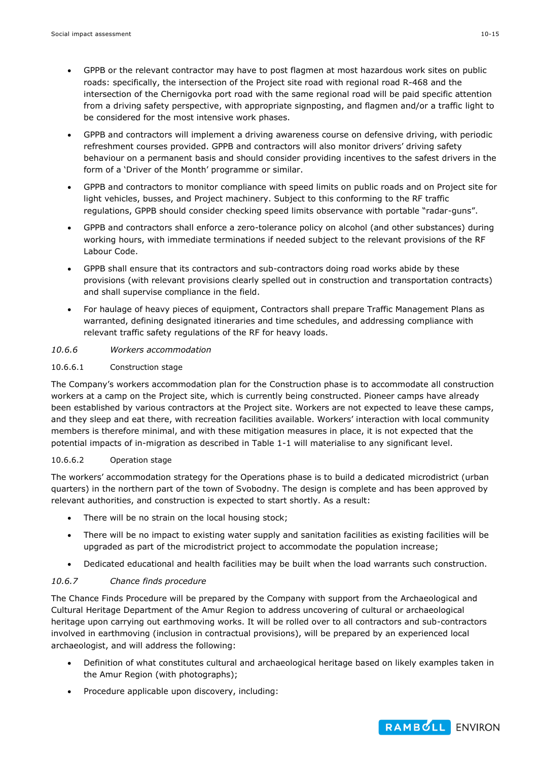- GPPB or the relevant contractor may have to post flagmen at most hazardous work sites on public roads: specifically, the intersection of the Project site road with regional road R-468 and the intersection of the Chernigovka port road with the same regional road will be paid specific attention from a driving safety perspective, with appropriate signposting, and flagmen and/or a traffic light to be considered for the most intensive work phases.
- GPPB and contractors will implement a driving awareness course on defensive driving, with periodic refreshment courses provided. GPPB and contractors will also monitor drivers' driving safety behaviour on a permanent basis and should consider providing incentives to the safest drivers in the form of a 'Driver of the Month' programme or similar.
- GPPB and contractors to monitor compliance with speed limits on public roads and on Project site for light vehicles, busses, and Project machinery. Subject to this conforming to the RF traffic regulations, GPPB should consider checking speed limits observance with portable "radar-guns".
- GPPB and contractors shall enforce a zero-tolerance policy on alcohol (and other substances) during working hours, with immediate terminations if needed subject to the relevant provisions of the RF Labour Code.
- GPPB shall ensure that its contractors and sub-contractors doing road works abide by these provisions (with relevant provisions clearly spelled out in construction and transportation contracts) and shall supervise compliance in the field.
- For haulage of heavy pieces of equipment, Contractors shall prepare Traffic Management Plans as warranted, defining designated itineraries and time schedules, and addressing compliance with relevant traffic safety regulations of the RF for heavy loads.

## <span id="page-14-0"></span>*10.6.6 Workers accommodation*

## 10.6.6.1 Construction stage

The Company's workers accommodation plan for the Construction phase is to accommodate all construction workers at a camp on the Project site, which is currently being constructed. Pioneer camps have already been established by various contractors at the Project site. Workers are not expected to leave these camps, and they sleep and eat there, with recreation facilities available. Workers' interaction with local community members is therefore minimal, and with these mitigation measures in place, it is not expected that the potential impacts of in-migration as described in Table 1-1 will materialise to any significant level.

#### 10.6.6.2 Operation stage

The workers' accommodation strategy for the Operations phase is to build a dedicated microdistrict (urban quarters) in the northern part of the town of Svobodny. The design is complete and has been approved by relevant authorities, and construction is expected to start shortly. As a result:

- There will be no strain on the local housing stock;
- There will be no impact to existing water supply and sanitation facilities as existing facilities will be upgraded as part of the microdistrict project to accommodate the population increase;
- Dedicated educational and health facilities may be built when the load warrants such construction.

## <span id="page-14-1"></span>*10.6.7 Chance finds procedure*

The Chance Finds Procedure will be prepared by the Company with support from the Archaeological and Cultural Heritage Department of the Amur Region to address uncovering of cultural or archaeological heritage upon carrying out earthmoving works. It will be rolled over to all contractors and sub-contractors involved in earthmoving (inclusion in contractual provisions), will be prepared by an experienced local archaeologist, and will address the following:

- Definition of what constitutes cultural and archaeological heritage based on likely examples taken in the Amur Region (with photographs);
- Procedure applicable upon discovery, including:

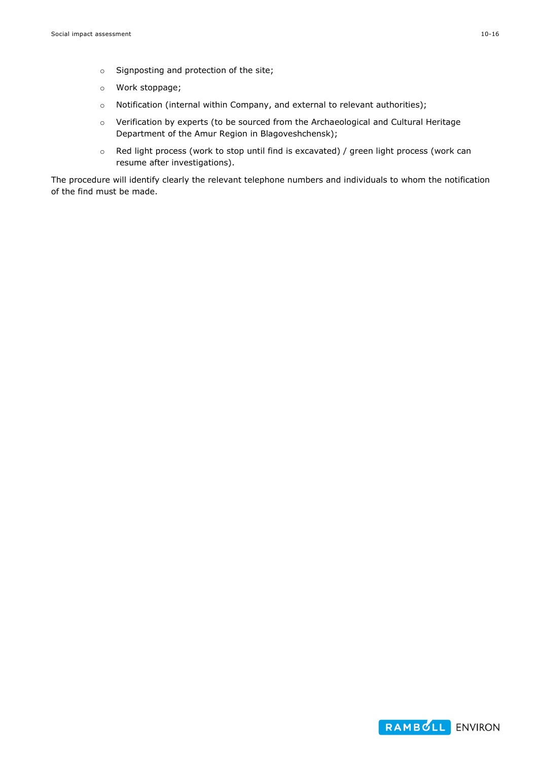- o Signposting and protection of the site;
- o Work stoppage;
- o Notification (internal within Company, and external to relevant authorities);
- o Verification by experts (to be sourced from the Archaeological and Cultural Heritage Department of the Amur Region in Blagoveshchensk);
- o Red light process (work to stop until find is excavated) / green light process (work can resume after investigations).

The procedure will identify clearly the relevant telephone numbers and individuals to whom the notification of the find must be made.

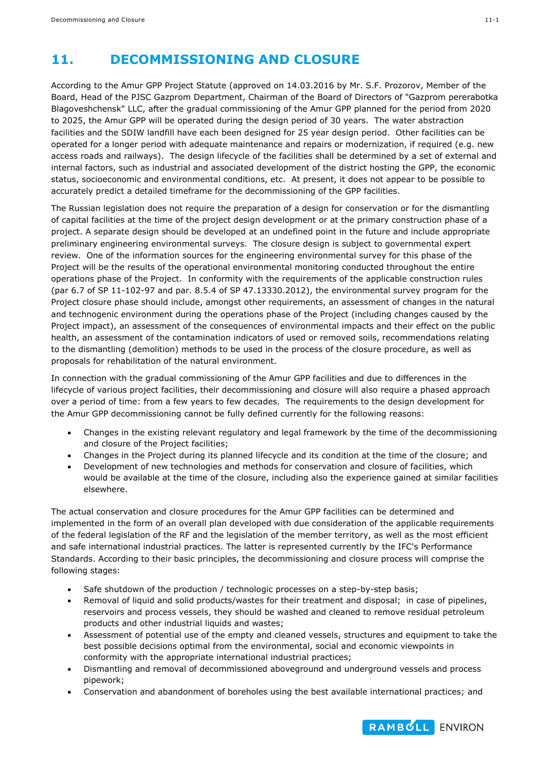## **11. DECOMMISSIONING AND CLOSURE**

According to the Amur GPP Project Statute (approved on 14.03.2016 by Mr. S.F. Prozorov, Member of the Board, Head of the PJSC Gazprom Department, Chairman of the Board of Directors of "Gazprom pererabotka Blagoveshchensk" LLC, after the gradual commissioning of the Amur GPP planned for the period from 2020 to 2025, the Amur GPP will be operated during the design period of 30 years. The water abstraction facilities and the SDIW landfill have each been designed for 25 year design period. Other facilities can be operated for a longer period with adequate maintenance and repairs or modernization, if required (e.g. new access roads and railways). The design lifecycle of the facilities shall be determined by a set of external and internal factors, such as industrial and associated development of the district hosting the GPP, the economic status, socioeconomic and environmental conditions, etc. At present, it does not appear to be possible to accurately predict a detailed timeframe for the decommissioning of the GPP facilities.

The Russian legislation does not require the preparation of a design for conservation or for the dismantling of capital facilities at the time of the project design development or at the primary construction phase of a project. A separate design should be developed at an undefined point in the future and include appropriate preliminary engineering environmental surveys. The closure design is subject to governmental expert review. One of the information sources for the engineering environmental survey for this phase of the Project will be the results of the operational environmental monitoring conducted throughout the entire operations phase of the Project. In conformity with the requirements of the applicable construction rules (par 6.7 of SP 11-102-97 and par. 8.5.4 of SP 47.13330.2012), the environmental survey program for the Project closure phase should include, amongst other requirements, an assessment of changes in the natural and technogenic environment during the operations phase of the Project (including changes caused by the Project impact), an assessment of the consequences of environmental impacts and their effect on the public health, an assessment of the contamination indicators of used or removed soils, recommendations relating to the dismantling (demolition) methods to be used in the process of the closure procedure, as well as proposals for rehabilitation of the natural environment.

In connection with the gradual commissioning of the Amur GPP facilities and due to differences in the lifecycle of various project facilities, their decommissioning and closure will also require a phased approach over a period of time: from a few years to few decades. The requirements to the design development for the Amur GPP decommissioning cannot be fully defined currently for the following reasons:

- Changes in the existing relevant regulatory and legal framework by the time of the decommissioning and closure of the Project facilities;
- Changes in the Project during its planned lifecycle and its condition at the time of the closure; and
- Development of new technologies and methods for conservation and closure of facilities, which would be available at the time of the closure, including also the experience gained at similar facilities elsewhere.

The actual conservation and closure procedures for the Amur GPP facilities can be determined and implemented in the form of an overall plan developed with due consideration of the applicable requirements of the federal legislation of the RF and the legislation of the member territory, as well as the most efficient and safe international industrial practices. The latter is represented currently by the IFC's Performance Standards. According to their basic principles, the decommissioning and closure process will comprise the following stages:

- Safe shutdown of the production / technologic processes on a step-by-step basis;
- Removal of liquid and solid products/wastes for their treatment and disposal; in case of pipelines, reservoirs and process vessels, they should be washed and cleaned to remove residual petroleum products and other industrial liquids and wastes;
- Assessment of potential use of the empty and cleaned vessels, structures and equipment to take the best possible decisions optimal from the environmental, social and economic viewpoints in conformity with the appropriate international industrial practices;
- Dismantling and removal of decommissioned aboveground and underground vessels and process pipework;
- Conservation and abandonment of boreholes using the best available international practices; and

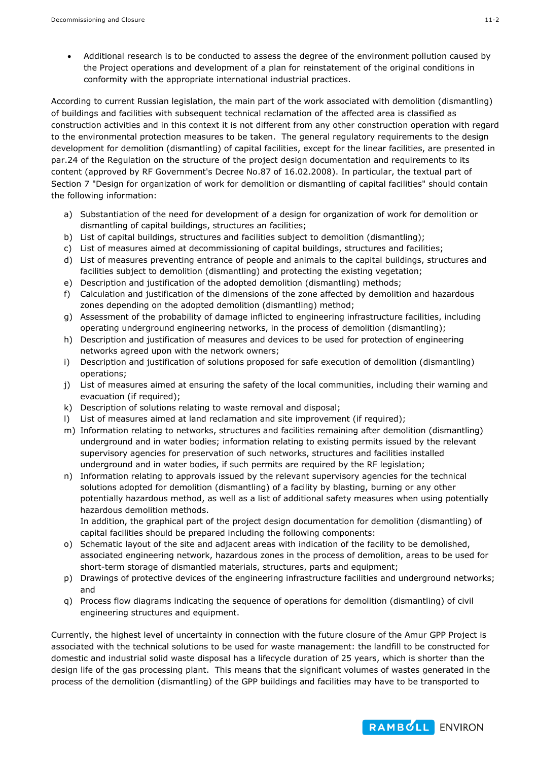Additional research is to be conducted to assess the degree of the environment pollution caused by the Project operations and development of a plan for reinstatement of the original conditions in conformity with the appropriate international industrial practices.

According to current Russian legislation, the main part of the work associated with demolition (dismantling) of buildings and facilities with subsequent technical reclamation of the affected area is classified as construction activities and in this context it is not different from any other construction operation with regard to the environmental protection measures to be taken. The general regulatory requirements to the design development for demolition (dismantling) of capital facilities, except for the linear facilities, are presented in par.24 of the Regulation on the structure of the project design documentation and requirements to its content (approved by RF Government's Decree No.87 of 16.02.2008). In particular, the textual part of Section 7 "Design for organization of work for demolition or dismantling of capital facilities" should contain the following information:

- a) Substantiation of the need for development of a design for organization of work for demolition or dismantling of capital buildings, structures an facilities;
- b) List of capital buildings, structures and facilities subject to demolition (dismantling);
- c) List of measures aimed at decommissioning of capital buildings, structures and facilities;
- d) List of measures preventing entrance of people and animals to the capital buildings, structures and facilities subject to demolition (dismantling) and protecting the existing vegetation;
- e) Description and justification of the adopted demolition (dismantling) methods;
- f) Calculation and justification of the dimensions of the zone affected by demolition and hazardous zones depending on the adopted demolition (dismantling) method;
- g) Assessment of the probability of damage inflicted to engineering infrastructure facilities, including operating underground engineering networks, in the process of demolition (dismantling);
- h) Description and justification of measures and devices to be used for protection of engineering networks agreed upon with the network owners;
- i) Description and justification of solutions proposed for safe execution of demolition (dismantling) operations;
- j) List of measures aimed at ensuring the safety of the local communities, including their warning and evacuation (if required);
- k) Description of solutions relating to waste removal and disposal;
- l) List of measures aimed at land reclamation and site improvement (if required);
- m) Information relating to networks, structures and facilities remaining after demolition (dismantling) underground and in water bodies; information relating to existing permits issued by the relevant supervisory agencies for preservation of such networks, structures and facilities installed underground and in water bodies, if such permits are required by the RF legislation;
- n) Information relating to approvals issued by the relevant supervisory agencies for the technical solutions adopted for demolition (dismantling) of a facility by blasting, burning or any other potentially hazardous method, as well as a list of additional safety measures when using potentially hazardous demolition methods.

In addition, the graphical part of the project design documentation for demolition (dismantling) of capital facilities should be prepared including the following components:

- o) Schematic layout of the site and adjacent areas with indication of the facility to be demolished, associated engineering network, hazardous zones in the process of demolition, areas to be used for short-term storage of dismantled materials, structures, parts and equipment;
- p) Drawings of protective devices of the engineering infrastructure facilities and underground networks; and
- q) Process flow diagrams indicating the sequence of operations for demolition (dismantling) of civil engineering structures and equipment.

Currently, the highest level of uncertainty in connection with the future closure of the Amur GPP Project is associated with the technical solutions to be used for waste management: the landfill to be constructed for domestic and industrial solid waste disposal has a lifecycle duration of 25 years, which is shorter than the design life of the gas processing plant. This means that the significant volumes of wastes generated in the process of the demolition (dismantling) of the GPP buildings and facilities may have to be transported to

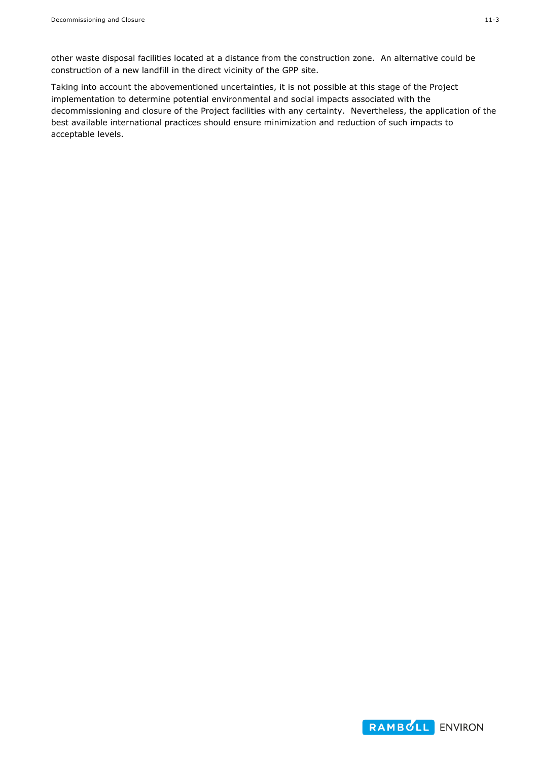other waste disposal facilities located at a distance from the construction zone. An alternative could be construction of a new landfill in the direct vicinity of the GPP site.

Taking into account the abovementioned uncertainties, it is not possible at this stage of the Project implementation to determine potential environmental and social impacts associated with the decommissioning and closure of the Project facilities with any certainty. Nevertheless, the application of the best available international practices should ensure minimization and reduction of such impacts to acceptable levels.

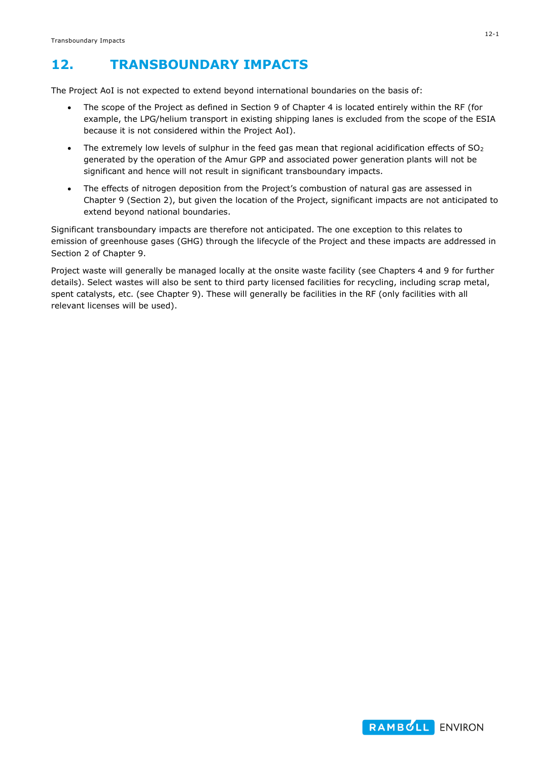# **12. TRANSBOUNDARY IMPACTS**

The Project AoI is not expected to extend beyond international boundaries on the basis of:

- The scope of the Project as defined in Section 9 of Chapter 4 is located entirely within the RF (for example, the LPG/helium transport in existing shipping lanes is excluded from the scope of the ESIA because it is not considered within the Project AoI).
- The extremely low levels of sulphur in the feed gas mean that regional acidification effects of  $SO<sub>2</sub>$ generated by the operation of the Amur GPP and associated power generation plants will not be significant and hence will not result in significant transboundary impacts.
- The effects of nitrogen deposition from the Project's combustion of natural gas are assessed in Chapter 9 (Section 2), but given the location of the Project, significant impacts are not anticipated to extend beyond national boundaries.

Significant transboundary impacts are therefore not anticipated. The one exception to this relates to emission of greenhouse gases (GHG) through the lifecycle of the Project and these impacts are addressed in Section 2 of Chapter 9.

Project waste will generally be managed locally at the onsite waste facility (see Chapters 4 and 9 for further details). Select wastes will also be sent to third party licensed facilities for recycling, including scrap metal, spent catalysts, etc. (see Chapter 9). These will generally be facilities in the RF (only facilities with all relevant licenses will be used).

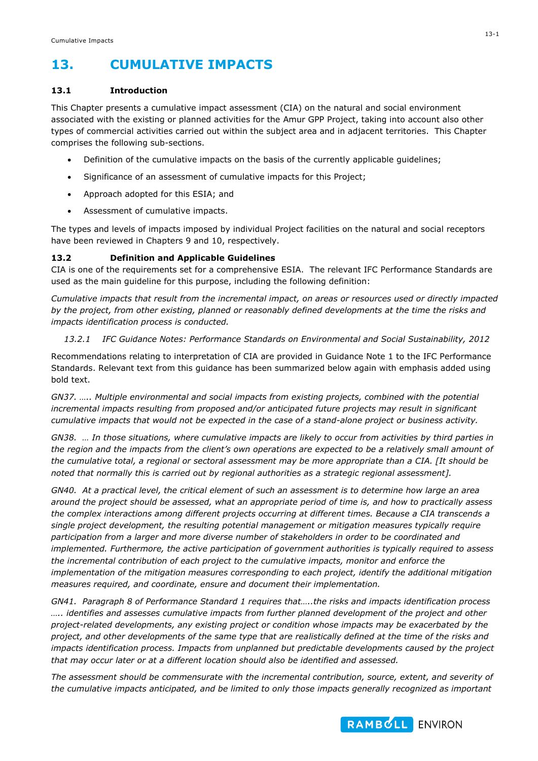## **13. CUMULATIVE IMPACTS**

## **13.1 Introduction**

This Chapter presents a cumulative impact assessment (CIA) on the natural and social environment associated with the existing or planned activities for the Amur GPP Project, taking into account also other types of commercial activities carried out within the subject area and in adjacent territories. This Chapter comprises the following sub-sections.

- Definition of the cumulative impacts on the basis of the currently applicable guidelines;
- Significance of an assessment of cumulative impacts for this Project;
- Approach adopted for this ESIA; and
- Assessment of cumulative impacts.

The types and levels of impacts imposed by individual Project facilities on the natural and social receptors have been reviewed in Chapters 9 and 10, respectively.

## **13.2 Definition and Applicable Guidelines**

CIA is one of the requirements set for a comprehensive ESIA. The relevant IFC Performance Standards are used as the main guideline for this purpose, including the following definition:

*Cumulative impacts that result from the incremental impact, on areas or resources used or directly impacted by the project, from other existing, planned or reasonably defined developments at the time the risks and impacts identification process is conducted.*

## *13.2.1 IFC Guidance Notes: Performance Standards on Environmental and Social Sustainability, 2012*

Recommendations relating to interpretation of CIA are provided in Guidance Note 1 to the IFC Performance Standards. Relevant text from this guidance has been summarized below again with emphasis added using bold text.

*GN37. ….. Multiple environmental and social impacts from existing projects, combined with the potential incremental impacts resulting from proposed and/or anticipated future projects may result in significant cumulative impacts that would not be expected in the case of a stand-alone project or business activity.* 

*GN38. … In those situations, where cumulative impacts are likely to occur from activities by third parties in the region and the impacts from the client's own operations are expected to be a relatively small amount of the cumulative total, a regional or sectoral assessment may be more appropriate than a CIA. [It should be noted that normally this is carried out by regional authorities as a strategic regional assessment].*

*GN40. At a practical level, the critical element of such an assessment is to determine how large an area around the project should be assessed, what an appropriate period of time is, and how to practically assess the complex interactions among different projects occurring at different times. Because a CIA transcends a single project development, the resulting potential management or mitigation measures typically require participation from a larger and more diverse number of stakeholders in order to be coordinated and implemented. Furthermore, the active participation of government authorities is typically required to assess the incremental contribution of each project to the cumulative impacts, monitor and enforce the implementation of the mitigation measures corresponding to each project, identify the additional mitigation measures required, and coordinate, ensure and document their implementation.* 

*GN41. Paragraph 8 of Performance Standard 1 requires that…..the risks and impacts identification process ….. identifies and assesses cumulative impacts from further planned development of the project and other project-related developments, any existing project or condition whose impacts may be exacerbated by the project, and other developments of the same type that are realistically defined at the time of the risks and impacts identification process. Impacts from unplanned but predictable developments caused by the project that may occur later or at a different location should also be identified and assessed.* 

*The assessment should be commensurate with the incremental contribution, source, extent, and severity of the cumulative impacts anticipated, and be limited to only those impacts generally recognized as important* 

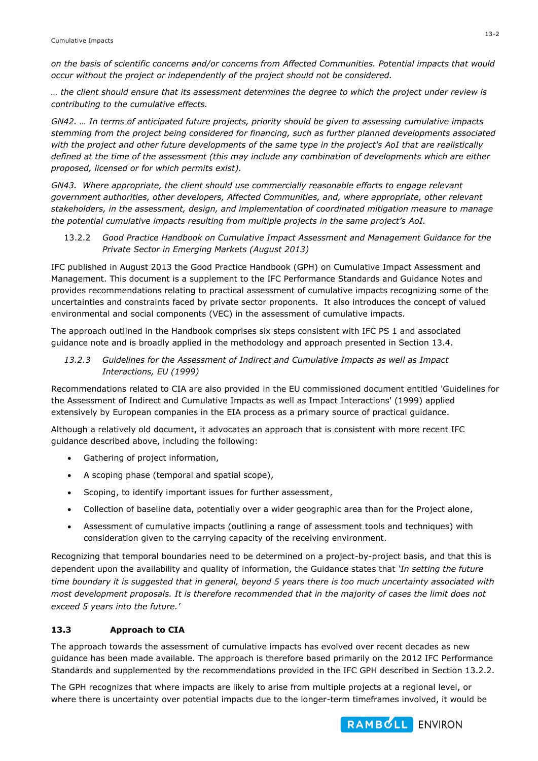*on the basis of scientific concerns and/or concerns from Affected Communities. Potential impacts that would occur without the project or independently of the project should not be considered.* 

*… the client should ensure that its assessment determines the degree to which the project under review is contributing to the cumulative effects.*

*GN42. … In terms of anticipated future projects, priority should be given to assessing cumulative impacts stemming from the project being considered for financing, such as further planned developments associated with the project and other future developments of the same type in the project's AoI that are realistically defined at the time of the assessment (this may include any combination of developments which are either proposed, licensed or for which permits exist).* 

*GN43. Where appropriate, the client should use commercially reasonable efforts to engage relevant government authorities, other developers, Affected Communities, and, where appropriate, other relevant stakeholders, in the assessment, design, and implementation of coordinated mitigation measure to manage the potential cumulative impacts resulting from multiple projects in the same project's AoI.* 

13.2.2 *Good Practice Handbook on Cumulative Impact Assessment and Management Guidance for the Private Sector in Emerging Markets (August 2013)*

IFC published in August 2013 the Good Practice Handbook (GPH) on Cumulative Impact Assessment and Management. This document is a supplement to the IFC Performance Standards and Guidance Notes and provides recommendations relating to practical assessment of cumulative impacts recognizing some of the uncertainties and constraints faced by private sector proponents. It also introduces the concept of valued environmental and social components (VEC) in the assessment of cumulative impacts.

The approach outlined in the Handbook comprises six steps consistent with IFC PS 1 and associated guidance note and is broadly applied in the methodology and approach presented in Section 13.4.

*13.2.3 Guidelines for the Assessment of Indirect and Cumulative Impacts as well as Impact Interactions, EU (1999)*

Recommendations related to CIA are also provided in the EU commissioned document entitled 'Guidelines for the Assessment of Indirect and Cumulative Impacts as well as Impact Interactions' (1999) applied extensively by European companies in the EIA process as a primary source of practical guidance.

Although a relatively old document, it advocates an approach that is consistent with more recent IFC guidance described above, including the following:

- Gathering of project information,
- A scoping phase (temporal and spatial scope),
- Scoping, to identify important issues for further assessment,
- Collection of baseline data, potentially over a wider geographic area than for the Project alone,
- Assessment of cumulative impacts (outlining a range of assessment tools and techniques) with consideration given to the carrying capacity of the receiving environment.

Recognizing that temporal boundaries need to be determined on a project-by-project basis, and that this is dependent upon the availability and quality of information, the Guidance states that *'In setting the future time boundary it is suggested that in general, beyond 5 years there is too much uncertainty associated with most development proposals. It is therefore recommended that in the majority of cases the limit does not exceed 5 years into the future.'*

## **13.3 Approach to CIA**

The approach towards the assessment of cumulative impacts has evolved over recent decades as new guidance has been made available. The approach is therefore based primarily on the 2012 IFC Performance Standards and supplemented by the recommendations provided in the IFC GPH described in Section 13.2.2.

The GPH recognizes that where impacts are likely to arise from multiple projects at a regional level, or where there is uncertainty over potential impacts due to the longer-term timeframes involved, it would be

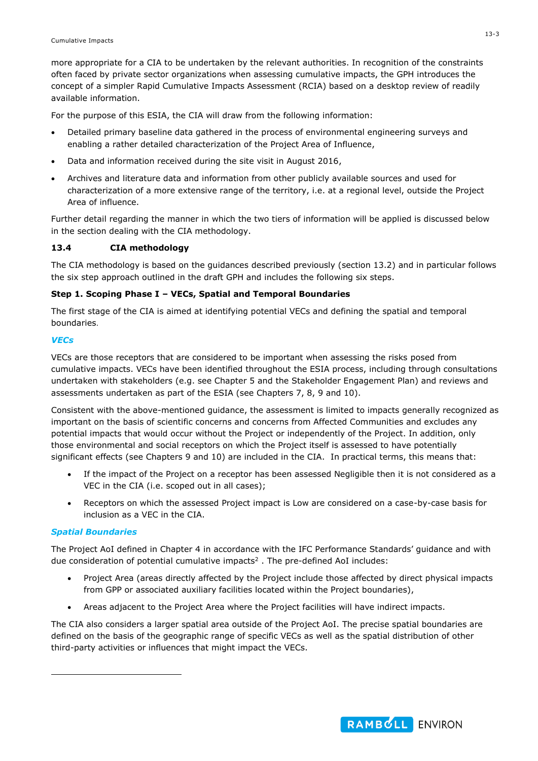more appropriate for a CIA to be undertaken by the relevant authorities. In recognition of the constraints often faced by private sector organizations when assessing cumulative impacts, the GPH introduces the concept of a simpler Rapid Cumulative Impacts Assessment (RCIA) based on a desktop review of readily available information.

For the purpose of this ESIA, the CIA will draw from the following information:

- Detailed primary baseline data gathered in the process of environmental engineering surveys and enabling a rather detailed characterization of the Project Area of Influence,
- Data and information received during the site visit in August 2016,
- Archives and literature data and information from other publicly available sources and used for characterization of a more extensive range of the territory, i.e. at a regional level, outside the Project Area of influence.

Further detail regarding the manner in which the two tiers of information will be applied is discussed below in the section dealing with the CIA methodology.

## **13.4 CIA methodology**

The CIA methodology is based on the guidances described previously (section 13.2) and in particular follows the six step approach outlined in the draft GPH and includes the following six steps.

## **Step 1. Scoping Phase I – VECs, Spatial and Temporal Boundaries**

The first stage of the CIA is aimed at identifying potential VECs and defining the spatial and temporal boundaries.

## *VECs*

VECs are those receptors that are considered to be important when assessing the risks posed from cumulative impacts. VECs have been identified throughout the ESIA process, including through consultations undertaken with stakeholders (e.g. see Chapter 5 and the Stakeholder Engagement Plan) and reviews and assessments undertaken as part of the ESIA (see Chapters 7, 8, 9 and 10).

Consistent with the above-mentioned guidance, the assessment is limited to impacts generally recognized as important on the basis of scientific concerns and concerns from Affected Communities and excludes any potential impacts that would occur without the Project or independently of the Project. In addition, only those environmental and social receptors on which the Project itself is assessed to have potentially significant effects (see Chapters 9 and 10) are included in the CIA. In practical terms, this means that:

- If the impact of the Project on a receptor has been assessed Negligible then it is not considered as a VEC in the CIA (i.e. scoped out in all cases);
- Receptors on which the assessed Project impact is Low are considered on a case-by-case basis for inclusion as a VEC in the CIA.

## *Spatial Boundaries*

-

The Project AoI defined in Chapter 4 in accordance with the IFC Performance Standards' guidance and with due consideration of potential cumulative impacts<sup>2</sup>. The pre-defined AoI includes:

- Project Area (areas directly affected by the Project include those affected by direct physical impacts from GPP or associated auxiliary facilities located within the Project boundaries),
- Areas adjacent to the Project Area where the Project facilities will have indirect impacts.

The CIA also considers a larger spatial area outside of the Project AoI. The precise spatial boundaries are defined on the basis of the geographic range of specific VECs as well as the spatial distribution of other third-party activities or influences that might impact the VECs.

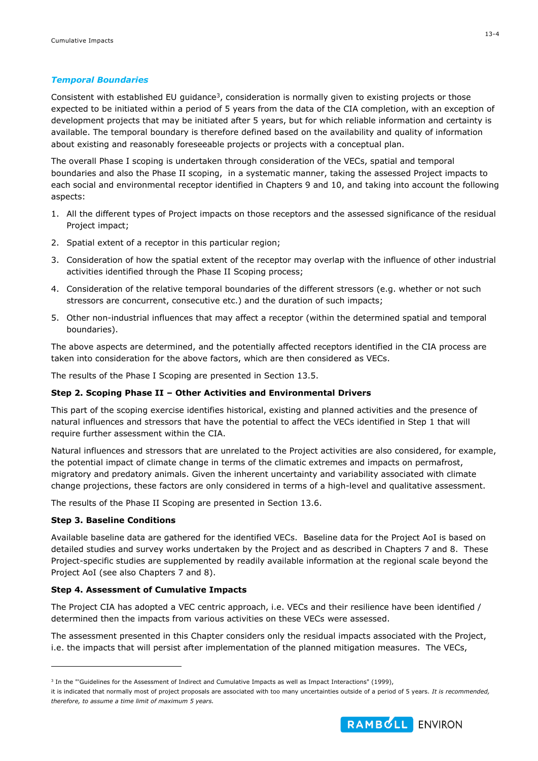#### *Temporal Boundaries*

Consistent with established EU guidance<sup>3</sup>, consideration is normally given to existing projects or those expected to be initiated within a period of 5 years from the data of the CIA completion, with an exception of development projects that may be initiated after 5 years, but for which reliable information and certainty is available. The temporal boundary is therefore defined based on the availability and quality of information about existing and reasonably foreseeable projects or projects with a conceptual plan.

The overall Phase I scoping is undertaken through consideration of the VECs, spatial and temporal boundaries and also the Phase II scoping, in a systematic manner, taking the assessed Project impacts to each social and environmental receptor identified in Chapters 9 and 10, and taking into account the following aspects:

- 1. All the different types of Project impacts on those receptors and the assessed significance of the residual Project impact;
- 2. Spatial extent of a receptor in this particular region;
- 3. Consideration of how the spatial extent of the receptor may overlap with the influence of other industrial activities identified through the Phase II Scoping process;
- 4. Consideration of the relative temporal boundaries of the different stressors (e.g. whether or not such stressors are concurrent, consecutive etc.) and the duration of such impacts;
- 5. Other non-industrial influences that may affect a receptor (within the determined spatial and temporal boundaries).

The above aspects are determined, and the potentially affected receptors identified in the CIA process are taken into consideration for the above factors, which are then considered as VECs.

The results of the Phase I Scoping are presented in Section 13.5.

#### **Step 2. Scoping Phase II – Other Activities and Environmental Drivers**

This part of the scoping exercise identifies historical, existing and planned activities and the presence of natural influences and stressors that have the potential to affect the VECs identified in Step 1 that will require further assessment within the CIA.

Natural influences and stressors that are unrelated to the Project activities are also considered, for example, the potential impact of climate change in terms of the climatic extremes and impacts on permafrost, migratory and predatory animals. Given the inherent uncertainty and variability associated with climate change projections, these factors are only considered in terms of a high-level and qualitative assessment.

The results of the Phase II Scoping are presented in Section 13.6.

#### **Step 3. Baseline Conditions**

-

Available baseline data are gathered for the identified VECs. Baseline data for the Project AoI is based on detailed studies and survey works undertaken by the Project and as described in Chapters 7 and 8. These Project-specific studies are supplemented by readily available information at the regional scale beyond the Project AoI (see also Chapters 7 and 8).

#### **Step 4. Assessment of Cumulative Impacts**

The Project CIA has adopted a VEC centric approach, i.e. VECs and their resilience have been identified / determined then the impacts from various activities on these VECs were assessed.

The assessment presented in this Chapter considers only the residual impacts associated with the Project, i.e. the impacts that will persist after implementation of the planned mitigation measures. The VECs,



<sup>&</sup>lt;sup>3</sup> In the "'Guidelines for the Assessment of Indirect and Cumulative Impacts as well as Impact Interactions" (1999),

it is indicated that normally most of project proposals are associated with too many uncertainties outside of a period of 5 years. *It is recommended, therefore, to assume a time limit of maximum 5 years.*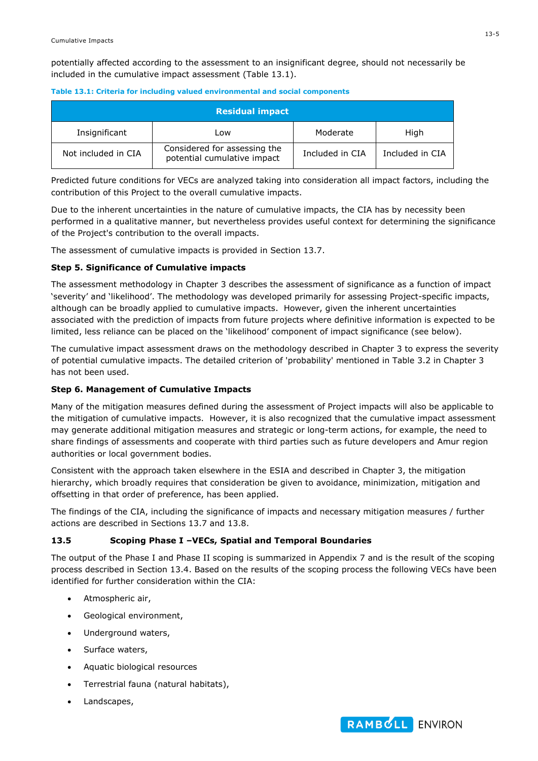potentially affected according to the assessment to an insignificant degree, should not necessarily be included in the cumulative impact assessment (Table 13.1).

|--|--|

| Residual impact     |                                                             |                 |                 |  |  |  |
|---------------------|-------------------------------------------------------------|-----------------|-----------------|--|--|--|
| Insignificant       | Low                                                         | Moderate        | High            |  |  |  |
| Not included in CIA | Considered for assessing the<br>potential cumulative impact | Included in CIA | Included in CIA |  |  |  |

Predicted future conditions for VECs are analyzed taking into consideration all impact factors, including the contribution of this Project to the overall cumulative impacts.

Due to the inherent uncertainties in the nature of cumulative impacts, the CIA has by necessity been performed in a qualitative manner, but nevertheless provides useful context for determining the significance of the Project's contribution to the overall impacts.

The assessment of cumulative impacts is provided in Section 13.7.

## **Step 5. Significance of Cumulative impacts**

The assessment methodology in Chapter 3 describes the assessment of significance as a function of impact 'severity' and 'likelihood'. The methodology was developed primarily for assessing Project-specific impacts, although can be broadly applied to cumulative impacts. However, given the inherent uncertainties associated with the prediction of impacts from future projects where definitive information is expected to be limited, less reliance can be placed on the 'likelihood' component of impact significance (see below).

The cumulative impact assessment draws on the methodology described in Chapter 3 to express the severity of potential cumulative impacts. The detailed criterion of 'probability' mentioned in Table 3.2 in Chapter 3 has not been used.

## **Step 6. Management of Cumulative Impacts**

Many of the mitigation measures defined during the assessment of Project impacts will also be applicable to the mitigation of cumulative impacts. However, it is also recognized that the cumulative impact assessment may generate additional mitigation measures and strategic or long-term actions, for example, the need to share findings of assessments and cooperate with third parties such as future developers and Amur region authorities or local government bodies.

Consistent with the approach taken elsewhere in the ESIA and described in Chapter 3, the mitigation hierarchy, which broadly requires that consideration be given to avoidance, minimization, mitigation and offsetting in that order of preference, has been applied.

The findings of the CIA, including the significance of impacts and necessary mitigation measures / further actions are described in Sections 13.7 and 13.8.

## **13.5 Scoping Phase I –VECs, Spatial and Temporal Boundaries**

The output of the Phase I and Phase II scoping is summarized in Appendix 7 and is the result of the scoping process described in Section 13.4. Based on the results of the scoping process the following VECs have been identified for further consideration within the CIA:

- Atmospheric air,
- Geological environment,
- Underground waters,
- Surface waters,
- Aquatic biological resources
- Terrestrial fauna (natural habitats),
- Landscapes,

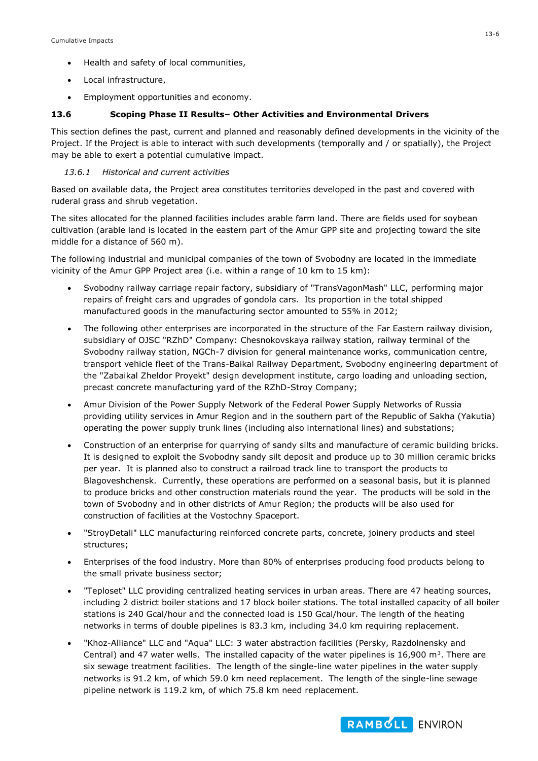- Health and safety of local communities,
- Local infrastructure,
- Employment opportunities and economy.

#### **13.6 Scoping Phase II Results– Other Activities and Environmental Drivers**

This section defines the past, current and planned and reasonably defined developments in the vicinity of the Project. If the Project is able to interact with such developments (temporally and / or spatially), the Project may be able to exert a potential cumulative impact.

## *13.6.1 Historical and current activities*

Based on available data, the Project area constitutes territories developed in the past and covered with ruderal grass and shrub vegetation.

The sites allocated for the planned facilities includes arable farm land. There are fields used for soybean cultivation (arable land is located in the eastern part of the Amur GPP site and projecting toward the site middle for a distance of 560 m).

The following industrial and municipal companies of the town of Svobodny are located in the immediate vicinity of the Amur GPP Project area (i.e. within a range of 10 km to 15 km):

- Svobodny railway carriage repair factory, subsidiary of "TransVagonMash" LLC, performing major repairs of freight cars and upgrades of gondola cars. Its proportion in the total shipped manufactured goods in the manufacturing sector amounted to 55% in 2012;
- The following other enterprises are incorporated in the structure of the Far Eastern railway division, subsidiary of OJSC "RZhD" Company: Chesnokovskaya railway station, railway terminal of the Svobodny railway station, NGCh-7 division for general maintenance works, communication centre, transport vehicle fleet of the Trans-Baikal Railway Department, Svobodny engineering department of the "Zabaikal Zheldor Proyekt" design development institute, cargo loading and unloading section, precast concrete manufacturing yard of the RZhD-Stroy Company;
- Amur Division of the Power Supply Network of the Federal Power Supply Networks of Russia providing utility services in Amur Region and in the southern part of the Republic of Sakha (Yakutia) operating the power supply trunk lines (including also international lines) and substations;
- Construction of an enterprise for quarrying of sandy silts and manufacture of ceramic building bricks. It is designed to exploit the Svobodny sandy silt deposit and produce up to 30 million ceramic bricks per year. It is planned also to construct a railroad track line to transport the products to Blagoveshchensk. Currently, these operations are performed on a seasonal basis, but it is planned to produce bricks and other construction materials round the year. The products will be sold in the town of Svobodny and in other districts of Amur Region; the products will be also used for construction of facilities at the Vostochny Spaceport.
- "StroyDetali" LLC manufacturing reinforced concrete parts, concrete, joinery products and steel structures;
- Enterprises of the food industry. More than 80% of enterprises producing food products belong to the small private business sector;
- "Teploset" LLC providing centralized heating services in urban areas. There are 47 heating sources, including 2 district boiler stations and 17 block boiler stations. The total installed capacity of all boiler stations is 240 Gcal/hour and the connected load is 150 Gcal/hour. The length of the heating networks in terms of double pipelines is 83.3 km, including 34.0 km requiring replacement.
- "Khoz-Alliance" LLC and "Aqua" LLC: 3 water abstraction facilities (Persky, Razdolnensky and Central) and 47 water wells. The installed capacity of the water pipelines is 16,900  $\text{m}^3$ . There are six sewage treatment facilities. The length of the single-line water pipelines in the water supply networks is 91.2 km, of which 59.0 km need replacement. The length of the single-line sewage pipeline network is 119.2 km, of which 75.8 km need replacement.

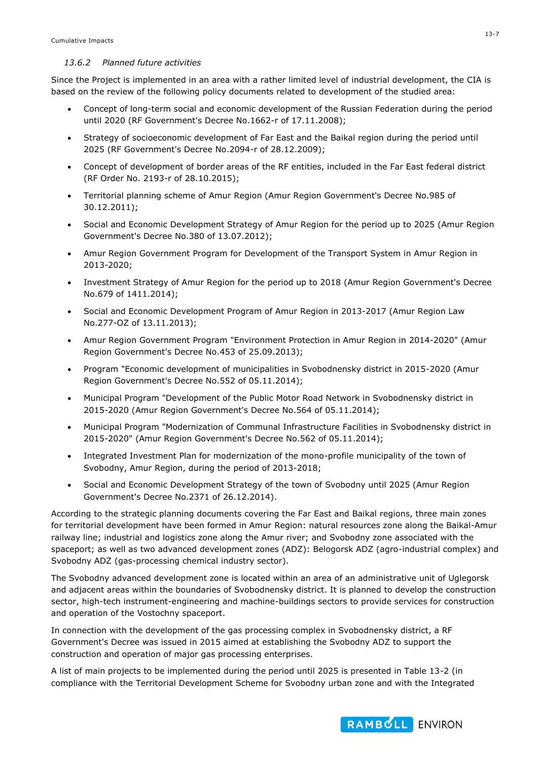#### *13.6.2 Planned future activities*

Since the Project is implemented in an area with a rather limited level of industrial development, the CIA is based on the review of the following policy documents related to development of the studied area:

- Concept of long-term social and economic development of the Russian Federation during the period until 2020 (RF Government's Decree No.1662-r of 17.11.2008);
- Strategy of socioeconomic development of Far East and the Baikal region during the period until 2025 (RF Government's Decree No.2094-r of 28.12.2009);
- Concept of development of border areas of the RF entities, included in the Far East federal district (RF Order No. 2193-r of 28.10.2015);
- Territorial planning scheme of Amur Region (Amur Region Government's Decree No.985 of 30.12.2011);
- Social and Economic Development Strategy of Amur Region for the period up to 2025 (Amur Region Government's Decree No.380 of 13.07.2012);
- Amur Region Government Program for Development of the Transport System in Amur Region in 2013-2020;
- Investment Strategy of Amur Region for the period up to 2018 (Amur Region Government's Decree No.679 of 1411.2014);
- Social and Economic Development Program of Amur Region in 2013-2017 (Amur Region Law No.277-OZ of 13.11.2013);
- Amur Region Government Program "Environment Protection in Amur Region in 2014-2020" (Amur Region Government's Decree No.453 of 25.09.2013);
- Program "Economic development of municipalities in Svobodnensky district in 2015-2020 (Amur Region Government's Decree No.552 of 05.11.2014);
- Municipal Program "Development of the Public Motor Road Network in Svobodnensky district in 2015-2020 (Amur Region Government's Decree No.564 of 05.11.2014);
- Municipal Program "Modernization of Communal Infrastructure Facilities in Svobodnensky district in 2015-2020" (Amur Region Government's Decree No.562 of 05.11.2014);
- Integrated Investment Plan for modernization of the mono-profile municipality of the town of Svobodny, Amur Region, during the period of 2013-2018;
- Social and Economic Development Strategy of the town of Svobodny until 2025 (Amur Region Government's Decree No.2371 of 26.12.2014).

According to the strategic planning documents covering the Far East and Baikal regions, three main zones for territorial development have been formed in Amur Region: natural resources zone along the Baikal-Amur railway line; industrial and logistics zone along the Amur river; and Svobodny zone associated with the spaceport; as well as two advanced development zones (ADZ): Belogorsk ADZ (agro-industrial complex) and Svobodny ADZ (gas-processing chemical industry sector).

The Svobodny advanced development zone is located within an area of an administrative unit of Uglegorsk and adjacent areas within the boundaries of Svobodnensky district. It is planned to develop the construction sector, high-tech instrument-engineering and machine-buildings sectors to provide services for construction and operation of the Vostochny spaceport.

In connection with the development of the gas processing complex in Svobodnensky district, a RF Government's Decree was issued in 2015 aimed at establishing the Svobodny ADZ to support the construction and operation of major gas processing enterprises.

A list of main projects to be implemented during the period until 2025 is presented in Table 13-2 (in compliance with the Territorial Development Scheme for Svobodny urban zone and with the Integrated

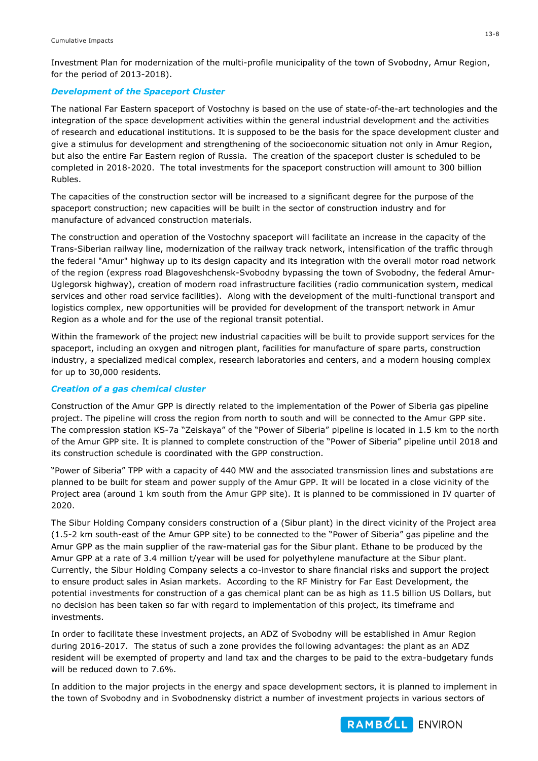Investment Plan for modernization of the multi-profile municipality of the town of Svobodny, Amur Region, for the period of 2013-2018).

#### *Development of the Spaceport Cluster*

The national Far Eastern spaceport of Vostochny is based on the use of state-of-the-art technologies and the integration of the space development activities within the general industrial development and the activities of research and educational institutions. It is supposed to be the basis for the space development cluster and give a stimulus for development and strengthening of the socioeconomic situation not only in Amur Region, but also the entire Far Eastern region of Russia. The creation of the spaceport cluster is scheduled to be completed in 2018-2020. The total investments for the spaceport construction will amount to 300 billion Rubles.

The capacities of the construction sector will be increased to a significant degree for the purpose of the spaceport construction; new capacities will be built in the sector of construction industry and for manufacture of advanced construction materials.

The construction and operation of the Vostochny spaceport will facilitate an increase in the capacity of the Trans-Siberian railway line, modernization of the railway track network, intensification of the traffic through the federal "Amur" highway up to its design capacity and its integration with the overall motor road network of the region (express road Blagoveshchensk-Svobodny bypassing the town of Svobodny, the federal Amur-Uglegorsk highway), creation of modern road infrastructure facilities (radio communication system, medical services and other road service facilities). Along with the development of the multi-functional transport and logistics complex, new opportunities will be provided for development of the transport network in Amur Region as a whole and for the use of the regional transit potential.

Within the framework of the project new industrial capacities will be built to provide support services for the spaceport, including an oxygen and nitrogen plant, facilities for manufacture of spare parts, construction industry, a specialized medical complex, research laboratories and centers, and a modern housing complex for up to 30,000 residents.

#### *Creation of a gas chemical cluster*

Construction of the Amur GPP is directly related to the implementation of the Power of Siberia gas pipeline project. The pipeline will cross the region from north to south and will be connected to the Amur GPP site. The compression station KS-7a "Zeiskaya" of the "Power of Siberia" pipeline is located in 1.5 km to the north of the Amur GPP site. It is planned to complete construction of the "Power of Siberia" pipeline until 2018 and its construction schedule is coordinated with the GPP construction.

"Power of Siberia" TPP with a capacity of 440 MW and the associated transmission lines and substations are planned to be built for steam and power supply of the Amur GPP. It will be located in a close vicinity of the Project area (around 1 km south from the Amur GPP site). It is planned to be commissioned in IV quarter of 2020.

The Sibur Holding Company considers construction of a (Sibur plant) in the direct vicinity of the Project area (1.5-2 km south-east of the Amur GPP site) to be connected to the "Power of Siberia" gas pipeline and the Amur GPP as the main supplier of the raw-material gas for the Sibur plant. Ethane to be produced by the Amur GPP at a rate of 3.4 million t/year will be used for polyethylene manufacture at the Sibur plant. Currently, the Sibur Holding Company selects a co-investor to share financial risks and support the project to ensure product sales in Asian markets. According to the RF Ministry for Far East Development, the potential investments for construction of a gas chemical plant can be as high as 11.5 billion US Dollars, but no decision has been taken so far with regard to implementation of this project, its timeframe and investments.

In order to facilitate these investment projects, an ADZ of Svobodny will be established in Amur Region during 2016-2017. The status of such a zone provides the following advantages: the plant as an ADZ resident will be exempted of property and land tax and the charges to be paid to the extra-budgetary funds will be reduced down to 7.6%.

In addition to the major projects in the energy and space development sectors, it is planned to implement in the town of Svobodny and in Svobodnensky district a number of investment projects in various sectors of

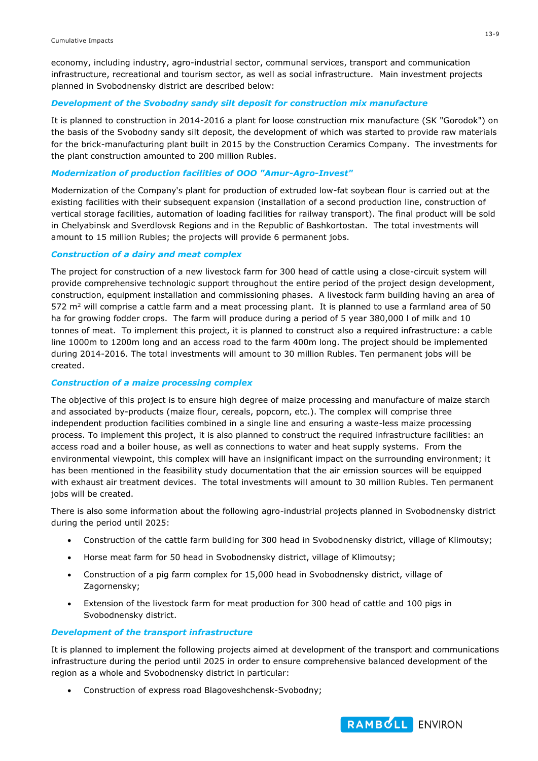economy, including industry, agro-industrial sector, communal services, transport and communication infrastructure, recreational and tourism sector, as well as social infrastructure. Main investment projects planned in Svobodnensky district are described below:

#### *Development of the Svobodny sandy silt deposit for construction mix manufacture*

It is planned to construction in 2014-2016 a plant for loose construction mix manufacture (SK "Gorodok") on the basis of the Svobodny sandy silt deposit, the development of which was started to provide raw materials for the brick-manufacturing plant built in 2015 by the Construction Ceramics Company. The investments for the plant construction amounted to 200 million Rubles.

#### *Modernization of production facilities of OOO "Amur-Agro-Invest"*

Modernization of the Company's plant for production of extruded low-fat soybean flour is carried out at the existing facilities with their subsequent expansion (installation of a second production line, construction of vertical storage facilities, automation of loading facilities for railway transport). The final product will be sold in Chelyabinsk and Sverdlovsk Regions and in the Republic of Bashkortostan. The total investments will amount to 15 million Rubles; the projects will provide 6 permanent jobs.

## *Construction of a dairy and meat complex*

The project for construction of a new livestock farm for 300 head of cattle using a close-circuit system will provide comprehensive technologic support throughout the entire period of the project design development, construction, equipment installation and commissioning phases. A livestock farm building having an area of 572 m<sup>2</sup> will comprise a cattle farm and a meat processing plant. It is planned to use a farmland area of 50 ha for growing fodder crops. The farm will produce during a period of 5 year 380,000 l of milk and 10 tonnes of meat. To implement this project, it is planned to construct also a required infrastructure: a cable line 1000m to 1200m long and an access road to the farm 400m long. The project should be implemented during 2014-2016. The total investments will amount to 30 million Rubles. Ten permanent jobs will be created.

#### *Construction of a maize processing complex*

The objective of this project is to ensure high degree of maize processing and manufacture of maize starch and associated by-products (maize flour, cereals, popcorn, etc.). The complex will comprise three independent production facilities combined in a single line and ensuring a waste-less maize processing process. To implement this project, it is also planned to construct the required infrastructure facilities: an access road and a boiler house, as well as connections to water and heat supply systems. From the environmental viewpoint, this complex will have an insignificant impact on the surrounding environment; it has been mentioned in the feasibility study documentation that the air emission sources will be equipped with exhaust air treatment devices. The total investments will amount to 30 million Rubles. Ten permanent jobs will be created.

There is also some information about the following agro-industrial projects planned in Svobodnensky district during the period until 2025:

- Construction of the cattle farm building for 300 head in Svobodnensky district, village of Klimoutsy;
- Horse meat farm for 50 head in Svobodnensky district, village of Klimoutsy;
- Construction of a pig farm complex for 15,000 head in Svobodnensky district, village of Zagornensky;
- Extension of the livestock farm for meat production for 300 head of cattle and 100 pigs in Svobodnensky district.

#### *Development of the transport infrastructure*

It is planned to implement the following projects aimed at development of the transport and communications infrastructure during the period until 2025 in order to ensure comprehensive balanced development of the region as a whole and Svobodnensky district in particular:

Construction of express road Blagoveshchensk-Svobodny;

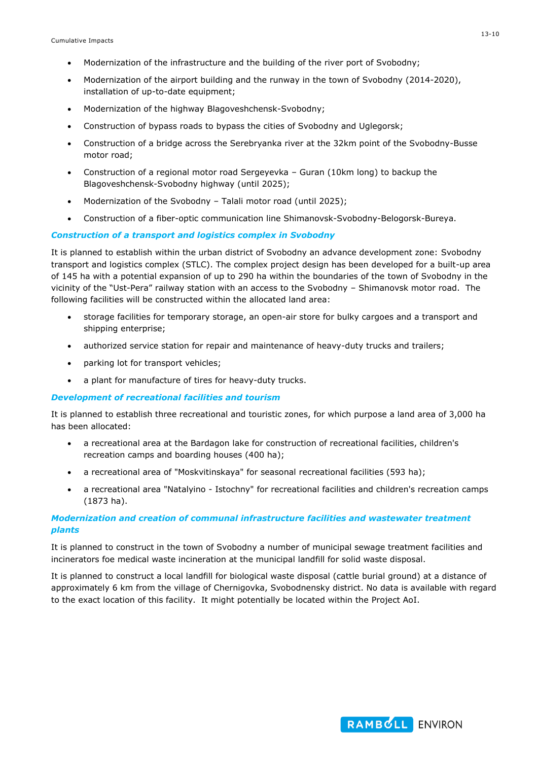- Modernization of the infrastructure and the building of the river port of Svobodny;
- Modernization of the airport building and the runway in the town of Svobodny (2014-2020), installation of up-to-date equipment;
- Modernization of the highway Blagoveshchensk-Svobodny;
- Construction of bypass roads to bypass the cities of Svobodny and Uglegorsk;
- Construction of a bridge across the Serebryanka river at the 32km point of the Svobodny-Busse motor road;
- Construction of a regional motor road Sergeyevka Guran (10km long) to backup the Blagoveshchensk-Svobodny highway (until 2025);
- Modernization of the Svobodny Talali motor road (until 2025);
- Construction of a fiber-optic communication line Shimanovsk-Svobodny-Belogorsk-Bureya.

## *Construction of a transport and logistics complex in Svobodny*

It is planned to establish within the urban district of Svobodny an advance development zone: Svobodny transport and logistics complex (STLC). The complex project design has been developed for a built-up area of 145 ha with a potential expansion of up to 290 ha within the boundaries of the town of Svobodny in the vicinity of the "Ust-Pera" railway station with an access to the Svobodny – Shimanovsk motor road. The following facilities will be constructed within the allocated land area:

- storage facilities for temporary storage, an open-air store for bulky cargoes and a transport and shipping enterprise;
- authorized service station for repair and maintenance of heavy-duty trucks and trailers;
- parking lot for transport vehicles;
- a plant for manufacture of tires for heavy-duty trucks.

#### *Development of recreational facilities and tourism*

It is planned to establish three recreational and touristic zones, for which purpose a land area of 3,000 ha has been allocated:

- a recreational area at the Bardagon lake for construction of recreational facilities, children's recreation camps and boarding houses (400 ha);
- a recreational area of "Moskvitinskaya" for seasonal recreational facilities (593 ha);
- a recreational area "Natalyino Istochny" for recreational facilities and children's recreation camps (1873 ha).

## *Modernization and creation of communal infrastructure facilities and wastewater treatment plants*

It is planned to construct in the town of Svobodny a number of municipal sewage treatment facilities and incinerators foe medical waste incineration at the municipal landfill for solid waste disposal.

It is planned to construct a local landfill for biological waste disposal (cattle burial ground) at a distance of approximately 6 km from the village of Chernigovka, Svobodnensky district. No data is available with regard to the exact location of this facility. It might potentially be located within the Project AoI.

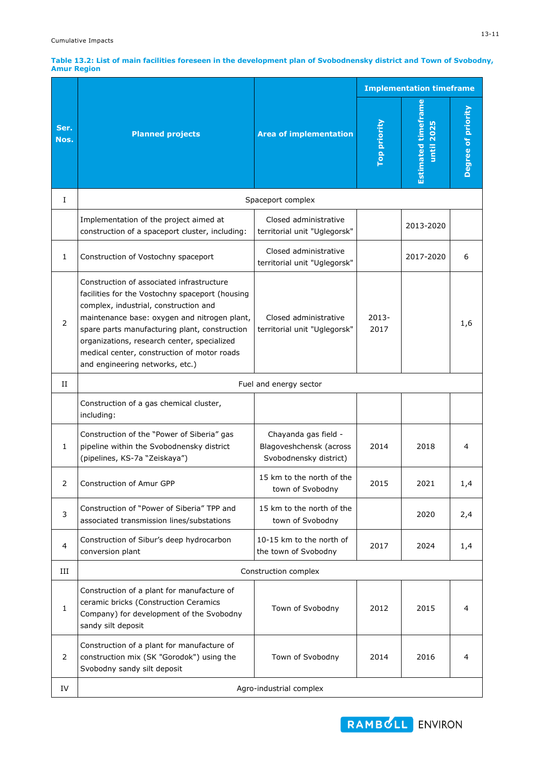| Table 13.2: List of main facilities foreseen in the development plan of Svobodnensky district and Town of Svobodny, |  |  |
|---------------------------------------------------------------------------------------------------------------------|--|--|
| <b>Amur Region</b>                                                                                                  |  |  |

|                          |                                                                                                                                                                                                                                                                                                                                                                         |                                                                           | <b>Implementation timeframe</b> |                                                |                    |
|--------------------------|-------------------------------------------------------------------------------------------------------------------------------------------------------------------------------------------------------------------------------------------------------------------------------------------------------------------------------------------------------------------------|---------------------------------------------------------------------------|---------------------------------|------------------------------------------------|--------------------|
| Ser.<br>Nos.             | <b>Planned projects</b>                                                                                                                                                                                                                                                                                                                                                 | <b>Area of implementation</b>                                             | Top priority                    | <b>Estimated timefram</b><br><b>until 2025</b> | Degree of priority |
| I                        |                                                                                                                                                                                                                                                                                                                                                                         | Spaceport complex                                                         |                                 |                                                |                    |
|                          | Implementation of the project aimed at<br>construction of a spaceport cluster, including:                                                                                                                                                                                                                                                                               | Closed administrative<br>territorial unit "Uglegorsk"                     |                                 | 2013-2020                                      |                    |
| $\mathbf{1}$             | Construction of Vostochny spaceport                                                                                                                                                                                                                                                                                                                                     | Closed administrative<br>territorial unit "Uglegorsk"                     |                                 | 2017-2020                                      | 6                  |
| $\overline{2}$           | Construction of associated infrastructure<br>facilities for the Vostochny spaceport (housing<br>complex, industrial, construction and<br>maintenance base: oxygen and nitrogen plant,<br>spare parts manufacturing plant, construction<br>organizations, research center, specialized<br>medical center, construction of motor roads<br>and engineering networks, etc.) | Closed administrative<br>territorial unit "Uglegorsk"                     | $2013 -$<br>2017                |                                                | 1,6                |
| П                        |                                                                                                                                                                                                                                                                                                                                                                         | Fuel and energy sector                                                    |                                 |                                                |                    |
|                          | Construction of a gas chemical cluster,<br>including:                                                                                                                                                                                                                                                                                                                   |                                                                           |                                 |                                                |                    |
| 1                        | Construction of the "Power of Siberia" gas<br>pipeline within the Svobodnensky district<br>(pipelines, KS-7a "Zeiskaya")                                                                                                                                                                                                                                                | Chayanda gas field -<br>Blagoveshchensk (across<br>Svobodnensky district) | 2014                            | 2018                                           | 4                  |
| 2                        | Construction of Amur GPP                                                                                                                                                                                                                                                                                                                                                | 15 km to the north of the<br>town of Svobodny                             | 2015                            | 2021                                           | 1,4                |
| 3                        | Construction of "Power of Siberia" TPP and<br>associated transmission lines/substations                                                                                                                                                                                                                                                                                 | 15 km to the north of the<br>town of Svobodny                             |                                 | 2020                                           | 2,4                |
| $\overline{\mathcal{L}}$ | Construction of Sibur's deep hydrocarbon<br>conversion plant                                                                                                                                                                                                                                                                                                            | 10-15 km to the north of<br>the town of Svobodny                          | 2017                            | 2024                                           | 1,4                |
| Ш                        |                                                                                                                                                                                                                                                                                                                                                                         | Construction complex                                                      |                                 |                                                |                    |
| $\mathbf{1}$             | Construction of a plant for manufacture of<br>ceramic bricks (Construction Ceramics<br>Company) for development of the Svobodny<br>sandy silt deposit                                                                                                                                                                                                                   | Town of Svobodny                                                          | 2012                            | 2015                                           | 4                  |
| $\overline{2}$           | Construction of a plant for manufacture of<br>construction mix (SK "Gorodok") using the<br>Svobodny sandy silt deposit                                                                                                                                                                                                                                                  | Town of Svobodny                                                          | 2014                            | 2016                                           | 4                  |
| IV                       |                                                                                                                                                                                                                                                                                                                                                                         | Agro-industrial complex                                                   |                                 |                                                |                    |

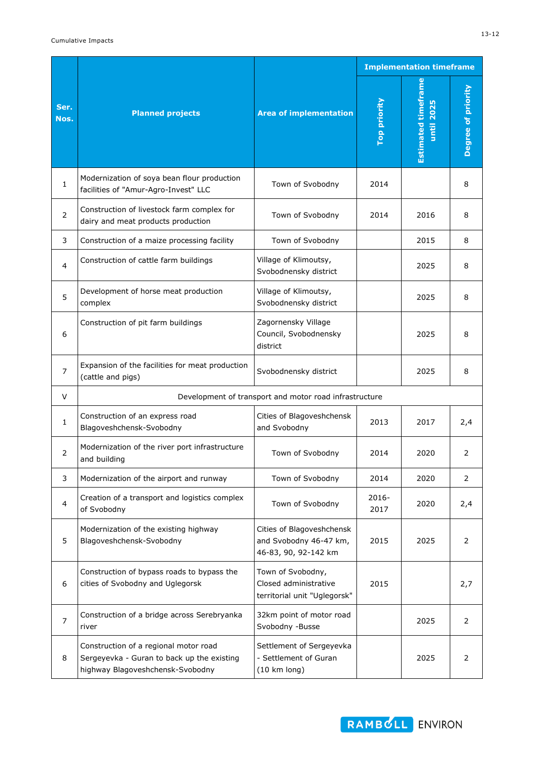|                |                                                                                                                                                                                                        |                                                                             | <b>Implementation timeframe</b> |                                          |                    |
|----------------|--------------------------------------------------------------------------------------------------------------------------------------------------------------------------------------------------------|-----------------------------------------------------------------------------|---------------------------------|------------------------------------------|--------------------|
| Ser.<br>Nos.   | <b>Planned projects</b>                                                                                                                                                                                | <b>Area of implementation</b>                                               | Top priority                    | <b>Estimated timeframe</b><br>until 2025 | Degree of priority |
| 1              | Modernization of soya bean flour production<br>facilities of "Amur-Agro-Invest" LLC                                                                                                                    | Town of Svobodny                                                            | 2014                            |                                          | 8                  |
| $\overline{2}$ | Construction of livestock farm complex for<br>dairy and meat products production                                                                                                                       | Town of Svobodny                                                            | 2014                            | 2016                                     | 8                  |
| 3              | Construction of a maize processing facility                                                                                                                                                            | Town of Svobodny                                                            |                                 | 2015                                     | 8                  |
| 4              | Construction of cattle farm buildings                                                                                                                                                                  | Village of Klimoutsy,<br>Svobodnensky district                              |                                 | 2025                                     | 8                  |
| 5              | Village of Klimoutsy,<br>Development of horse meat production<br>Svobodnensky district<br>complex                                                                                                      |                                                                             |                                 | 2025                                     | 8                  |
| 6              | Zagornensky Village<br>Construction of pit farm buildings<br>Council, Svobodnensky<br>district                                                                                                         |                                                                             |                                 | 2025                                     | 8                  |
| $\overline{7}$ | Expansion of the facilities for meat production<br>(cattle and pigs)                                                                                                                                   | Svobodnensky district                                                       |                                 | 2025                                     | 8                  |
| V              | Development of transport and motor road infrastructure                                                                                                                                                 |                                                                             |                                 |                                          |                    |
| 1              | Construction of an express road<br>Blagoveshchensk-Svobodny                                                                                                                                            | Cities of Blagoveshchensk<br>and Svobodny                                   |                                 | 2017                                     | 2,4                |
| 2              | Modernization of the river port infrastructure<br>and building                                                                                                                                         | Town of Svobodny                                                            |                                 | 2020                                     | 2                  |
| 3              | Modernization of the airport and runway                                                                                                                                                                | Town of Svobodny                                                            | 2014                            | 2020                                     | $\overline{2}$     |
| $\overline{4}$ | Creation of a transport and logistics complex<br>of Svobodny                                                                                                                                           | Town of Svobodny                                                            | 2016-<br>2017                   | 2020                                     | 2,4                |
| 5              | Modernization of the existing highway<br>Blagoveshchensk-Svobodny                                                                                                                                      | Cities of Blagoveshchensk<br>and Svobodny 46-47 km,<br>46-83, 90, 92-142 km | 2015                            | 2025                                     | 2                  |
| 6              | Construction of bypass roads to bypass the<br>cities of Svobodny and Uglegorsk                                                                                                                         | Town of Svobodny,<br>Closed administrative<br>territorial unit "Uglegorsk"  | 2015                            |                                          | 2,7                |
| $\overline{7}$ | Construction of a bridge across Serebryanka<br>river                                                                                                                                                   | 32km point of motor road<br>Svobodny -Busse                                 |                                 | 2025                                     | $\overline{2}$     |
| 8              | Construction of a regional motor road<br>Settlement of Sergeyevka<br>Sergeyevka - Guran to back up the existing<br>- Settlement of Guran<br>highway Blagoveshchensk-Svobodny<br>$(10 \text{ km long})$ |                                                                             |                                 | 2025                                     | 2                  |

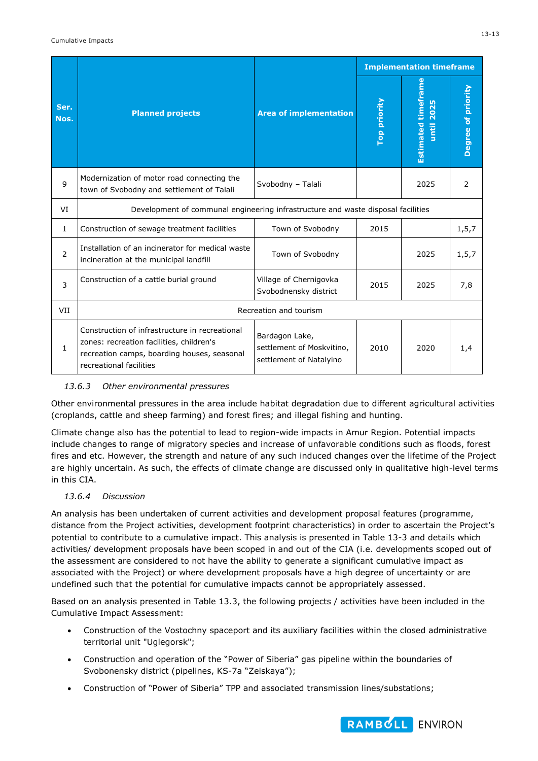|                |                                                                                                                                                                      |                                                                        | <b>Implementation timeframe</b> |                                             |                    |  |
|----------------|----------------------------------------------------------------------------------------------------------------------------------------------------------------------|------------------------------------------------------------------------|---------------------------------|---------------------------------------------|--------------------|--|
| Ser.<br>Nos.   | <b>Planned projects</b>                                                                                                                                              | <b>Area of implementation</b>                                          | Top priority                    | <b>Estimated timeframe</b><br>2025<br>until | Degree of priority |  |
| 9              | Modernization of motor road connecting the<br>town of Svobodny and settlement of Talali                                                                              | Svobodny - Talali                                                      |                                 | 2025                                        | 2                  |  |
| VI             | Development of communal engineering infrastructure and waste disposal facilities                                                                                     |                                                                        |                                 |                                             |                    |  |
| $\mathbf{1}$   | Construction of sewage treatment facilities                                                                                                                          | Town of Svobodny                                                       | 2015                            |                                             | 1,5,7              |  |
| $\overline{2}$ | Installation of an incinerator for medical waste<br>incineration at the municipal landfill                                                                           | Town of Svobodny                                                       |                                 | 2025                                        | 1,5,7              |  |
| 3              | Construction of a cattle burial ground                                                                                                                               | Village of Chernigovka<br>Svobodnensky district                        | 2015                            | 2025                                        | 7,8                |  |
| VII            | Recreation and tourism                                                                                                                                               |                                                                        |                                 |                                             |                    |  |
| $\mathbf{1}$   | Construction of infrastructure in recreational<br>zones: recreation facilities, children's<br>recreation camps, boarding houses, seasonal<br>recreational facilities | Bardagon Lake,<br>settlement of Moskvitino,<br>settlement of Natalyino | 2010                            | 2020                                        | 1,4                |  |

#### *13.6.3 Other environmental pressures*

Other environmental pressures in the area include habitat degradation due to different agricultural activities (croplands, cattle and sheep farming) and forest fires; and illegal fishing and hunting.

Climate change also has the potential to lead to region-wide impacts in Amur Region. Potential impacts include changes to range of migratory species and increase of unfavorable conditions such as floods, forest fires and etc. However, the strength and nature of any such induced changes over the lifetime of the Project are highly uncertain. As such, the effects of climate change are discussed only in qualitative high-level terms in this CIA.

#### *13.6.4 Discussion*

An analysis has been undertaken of current activities and development proposal features (programme, distance from the Project activities, development footprint characteristics) in order to ascertain the Project's potential to contribute to a cumulative impact. This analysis is presented in Table 13-3 and details which activities/ development proposals have been scoped in and out of the CIA (i.e. developments scoped out of the assessment are considered to not have the ability to generate a significant cumulative impact as associated with the Project) or where development proposals have a high degree of uncertainty or are undefined such that the potential for cumulative impacts cannot be appropriately assessed.

Based on an analysis presented in Table 13.3, the following projects / activities have been included in the Cumulative Impact Assessment:

- Construction of the Vostochny spaceport and its auxiliary facilities within the closed administrative territorial unit "Uglegorsk";
- Construction and operation of the "Power of Siberia" gas pipeline within the boundaries of Svobonensky district (pipelines, KS-7a "Zeiskaya");
- Construction of "Power of Siberia" TPP and associated transmission lines/substations;

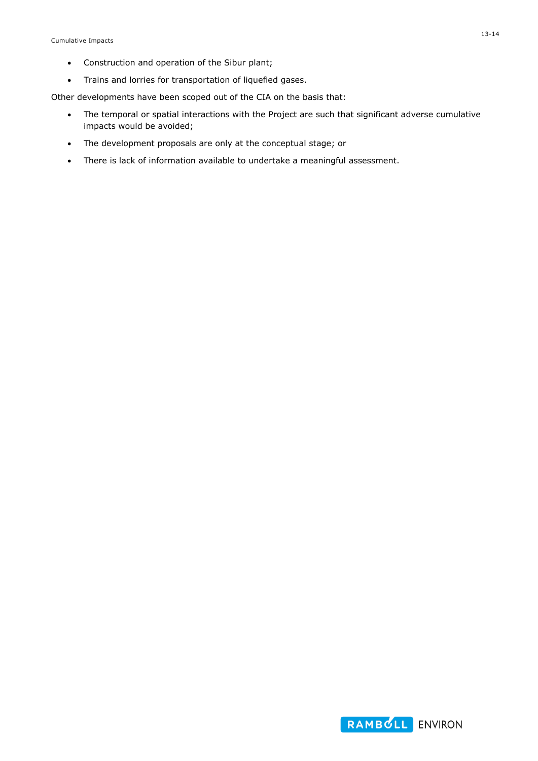- Construction and operation of the Sibur plant;
- Trains and lorries for transportation of liquefied gases.

Other developments have been scoped out of the CIA on the basis that:

- The temporal or spatial interactions with the Project are such that significant adverse cumulative impacts would be avoided;
- The development proposals are only at the conceptual stage; or
- There is lack of information available to undertake a meaningful assessment.

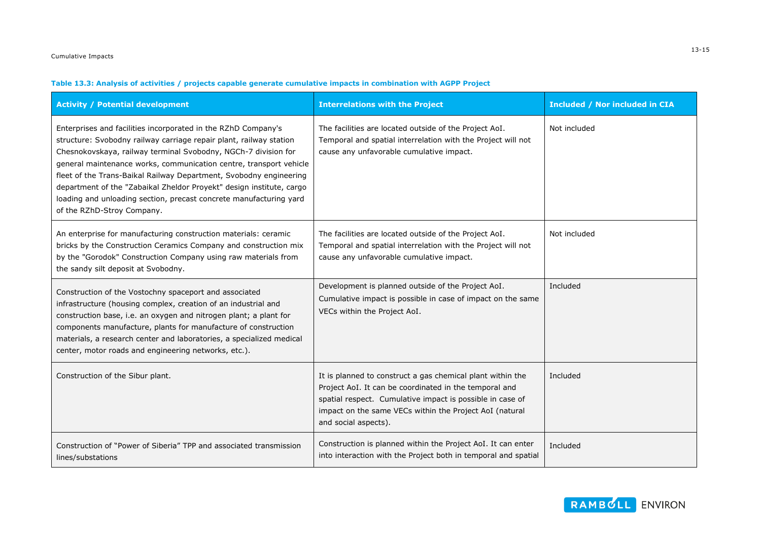## **Table 13.3: Analysis of activities / projects capable generate cumulative impacts in combination with AGPP Project**

| <b>Activity / Potential development</b>                                                                                                                                                                                                                                                                                                                                                                                                                                                                                       | <b>Interrelations with the Project</b>                                                                                                                                                                                                                               | <b>Included / Nor included in CIA</b> |
|-------------------------------------------------------------------------------------------------------------------------------------------------------------------------------------------------------------------------------------------------------------------------------------------------------------------------------------------------------------------------------------------------------------------------------------------------------------------------------------------------------------------------------|----------------------------------------------------------------------------------------------------------------------------------------------------------------------------------------------------------------------------------------------------------------------|---------------------------------------|
| Enterprises and facilities incorporated in the RZhD Company's<br>structure: Svobodny railway carriage repair plant, railway station<br>Chesnokovskaya, railway terminal Svobodny, NGCh-7 division for<br>general maintenance works, communication centre, transport vehicle<br>fleet of the Trans-Baikal Railway Department, Svobodny engineering<br>department of the "Zabaikal Zheldor Proyekt" design institute, cargo<br>loading and unloading section, precast concrete manufacturing yard<br>of the RZhD-Stroy Company. | The facilities are located outside of the Project AoI.<br>Temporal and spatial interrelation with the Project will not<br>cause any unfavorable cumulative impact.                                                                                                   | Not included                          |
| An enterprise for manufacturing construction materials: ceramic<br>bricks by the Construction Ceramics Company and construction mix<br>by the "Gorodok" Construction Company using raw materials from<br>the sandy silt deposit at Svobodny.                                                                                                                                                                                                                                                                                  | The facilities are located outside of the Project AoI.<br>Temporal and spatial interrelation with the Project will not<br>cause any unfavorable cumulative impact.                                                                                                   | Not included                          |
| Construction of the Vostochny spaceport and associated<br>infrastructure (housing complex, creation of an industrial and<br>construction base, i.e. an oxygen and nitrogen plant; a plant for<br>components manufacture, plants for manufacture of construction<br>materials, a research center and laboratories, a specialized medical<br>center, motor roads and engineering networks, etc.).                                                                                                                               | Development is planned outside of the Project AoI.<br>Cumulative impact is possible in case of impact on the same<br>VECs within the Project AoI.                                                                                                                    | Included                              |
| Construction of the Sibur plant.                                                                                                                                                                                                                                                                                                                                                                                                                                                                                              | It is planned to construct a gas chemical plant within the<br>Project AoI. It can be coordinated in the temporal and<br>spatial respect. Cumulative impact is possible in case of<br>impact on the same VECs within the Project AoI (natural<br>and social aspects). | Included                              |
| Construction of "Power of Siberia" TPP and associated transmission<br>lines/substations                                                                                                                                                                                                                                                                                                                                                                                                                                       | Construction is planned within the Project AoI. It can enter<br>into interaction with the Project both in temporal and spatial                                                                                                                                       | Included                              |

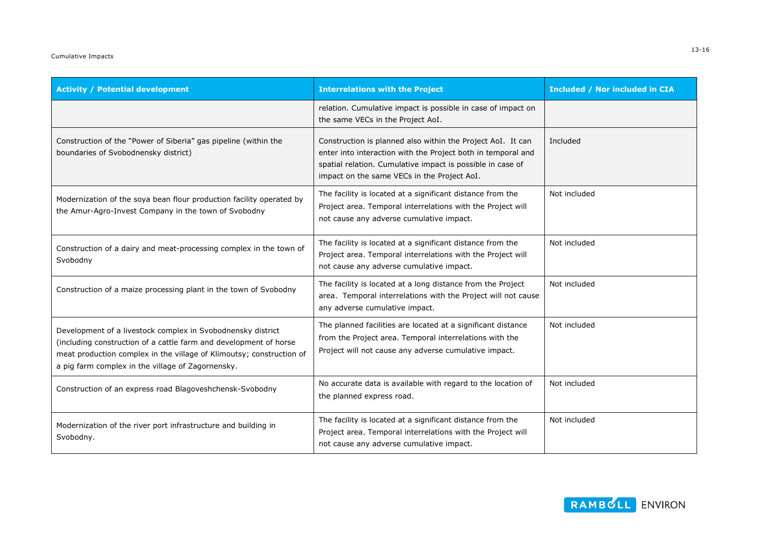| <b>Activity / Potential development</b>                                                                                                                                                                                                                       | <b>Interrelations with the Project</b>                                                                                                                                                                                                   | <b>Included / Nor included in CIA</b> |  |
|---------------------------------------------------------------------------------------------------------------------------------------------------------------------------------------------------------------------------------------------------------------|------------------------------------------------------------------------------------------------------------------------------------------------------------------------------------------------------------------------------------------|---------------------------------------|--|
|                                                                                                                                                                                                                                                               | relation. Cumulative impact is possible in case of impact on<br>the same VECs in the Project AoI.                                                                                                                                        |                                       |  |
| Construction of the "Power of Siberia" gas pipeline (within the<br>boundaries of Svobodnensky district)                                                                                                                                                       | Construction is planned also within the Project AoI. It can<br>enter into interaction with the Project both in temporal and<br>spatial relation. Cumulative impact is possible in case of<br>impact on the same VECs in the Project AoI. | Included                              |  |
| Modernization of the soya bean flour production facility operated by<br>the Amur-Agro-Invest Company in the town of Svobodny                                                                                                                                  | The facility is located at a significant distance from the<br>Project area. Temporal interrelations with the Project will<br>not cause any adverse cumulative impact.                                                                    | Not included                          |  |
| Construction of a dairy and meat-processing complex in the town of<br>Svobodny                                                                                                                                                                                | The facility is located at a significant distance from the<br>Project area. Temporal interrelations with the Project will<br>not cause any adverse cumulative impact.                                                                    | Not included                          |  |
| Construction of a maize processing plant in the town of Svobodny                                                                                                                                                                                              | The facility is located at a long distance from the Project<br>area. Temporal interrelations with the Project will not cause<br>any adverse cumulative impact.                                                                           | Not included                          |  |
| Development of a livestock complex in Svobodnensky district<br>(including construction of a cattle farm and development of horse<br>meat production complex in the village of Klimoutsy; construction of<br>a pig farm complex in the village of Zagornensky. | The planned facilities are located at a significant distance<br>from the Project area. Temporal interrelations with the<br>Project will not cause any adverse cumulative impact.                                                         | Not included                          |  |
| Construction of an express road Blagoveshchensk-Svobodny                                                                                                                                                                                                      | No accurate data is available with regard to the location of<br>the planned express road.                                                                                                                                                | Not included                          |  |
| Modernization of the river port infrastructure and building in<br>Svobodny.                                                                                                                                                                                   | The facility is located at a significant distance from the<br>Project area. Temporal interrelations with the Project will<br>not cause any adverse cumulative impact.                                                                    | Not included                          |  |

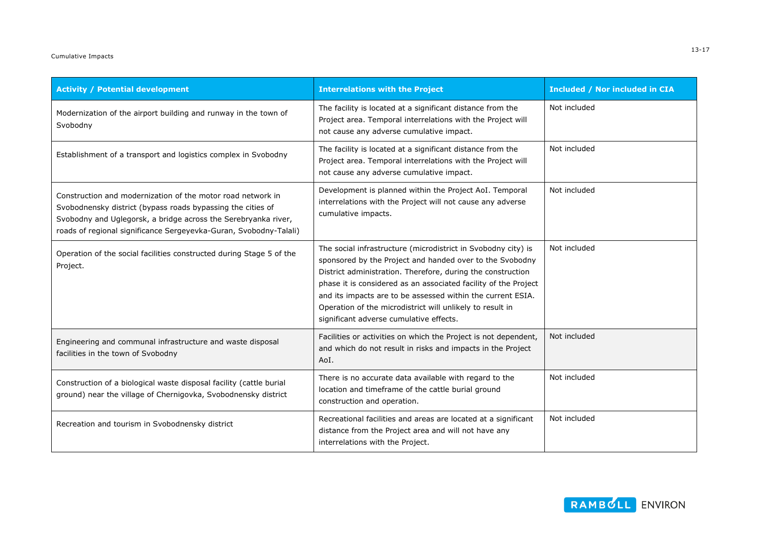#### Cumulative Impacts

| <b>Activity / Potential development</b>                                                                                                                                                                                                                           | <b>Interrelations with the Project</b>                                                                                                                                                                                                                                                                                                                                                                                             | <b>Included / Nor included in CIA</b> |
|-------------------------------------------------------------------------------------------------------------------------------------------------------------------------------------------------------------------------------------------------------------------|------------------------------------------------------------------------------------------------------------------------------------------------------------------------------------------------------------------------------------------------------------------------------------------------------------------------------------------------------------------------------------------------------------------------------------|---------------------------------------|
| Modernization of the airport building and runway in the town of<br>Svobodny                                                                                                                                                                                       | The facility is located at a significant distance from the<br>Project area. Temporal interrelations with the Project will<br>not cause any adverse cumulative impact.                                                                                                                                                                                                                                                              | Not included                          |
| Establishment of a transport and logistics complex in Svobodny                                                                                                                                                                                                    | The facility is located at a significant distance from the<br>Project area. Temporal interrelations with the Project will<br>not cause any adverse cumulative impact.                                                                                                                                                                                                                                                              | Not included                          |
| Construction and modernization of the motor road network in<br>Svobodnensky district (bypass roads bypassing the cities of<br>Svobodny and Uglegorsk, a bridge across the Serebryanka river,<br>roads of regional significance Sergeyevka-Guran, Svobodny-Talali) | Development is planned within the Project AoI. Temporal<br>interrelations with the Project will not cause any adverse<br>cumulative impacts.                                                                                                                                                                                                                                                                                       | Not included                          |
| Operation of the social facilities constructed during Stage 5 of the<br>Project.                                                                                                                                                                                  | The social infrastructure (microdistrict in Svobodny city) is<br>sponsored by the Project and handed over to the Svobodny<br>District administration. Therefore, during the construction<br>phase it is considered as an associated facility of the Project<br>and its impacts are to be assessed within the current ESIA.<br>Operation of the microdistrict will unlikely to result in<br>significant adverse cumulative effects. | Not included                          |
| Engineering and communal infrastructure and waste disposal<br>facilities in the town of Svobodny                                                                                                                                                                  | Facilities or activities on which the Project is not dependent,<br>and which do not result in risks and impacts in the Project<br>AoI.                                                                                                                                                                                                                                                                                             | Not included                          |
| Construction of a biological waste disposal facility (cattle burial<br>ground) near the village of Chernigovka, Svobodnensky district                                                                                                                             | There is no accurate data available with regard to the<br>location and timeframe of the cattle burial ground<br>construction and operation.                                                                                                                                                                                                                                                                                        | Not included                          |
| Recreation and tourism in Svobodnensky district                                                                                                                                                                                                                   | Recreational facilities and areas are located at a significant<br>distance from the Project area and will not have any<br>interrelations with the Project.                                                                                                                                                                                                                                                                         | Not included                          |

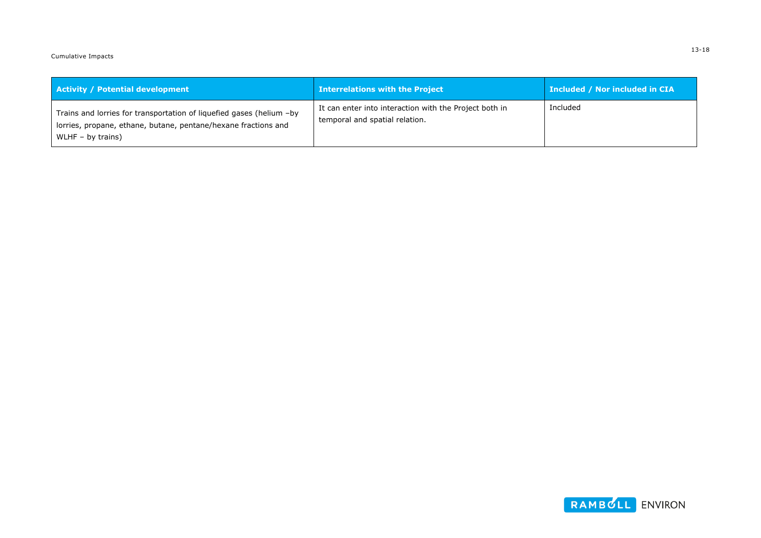Cumulative Impacts

| <b>Activity / Potential development</b>                                                                                                                       | <b>Interrelations with the Project</b>                                                   | Included / Nor included in CIA |
|---------------------------------------------------------------------------------------------------------------------------------------------------------------|------------------------------------------------------------------------------------------|--------------------------------|
| Trains and lorries for transportation of liquefied gases (helium -by<br>lorries, propane, ethane, butane, pentane/hexane fractions and<br>WLHF $-$ by trains) | It can enter into interaction with the Project both in<br>temporal and spatial relation. | Included                       |

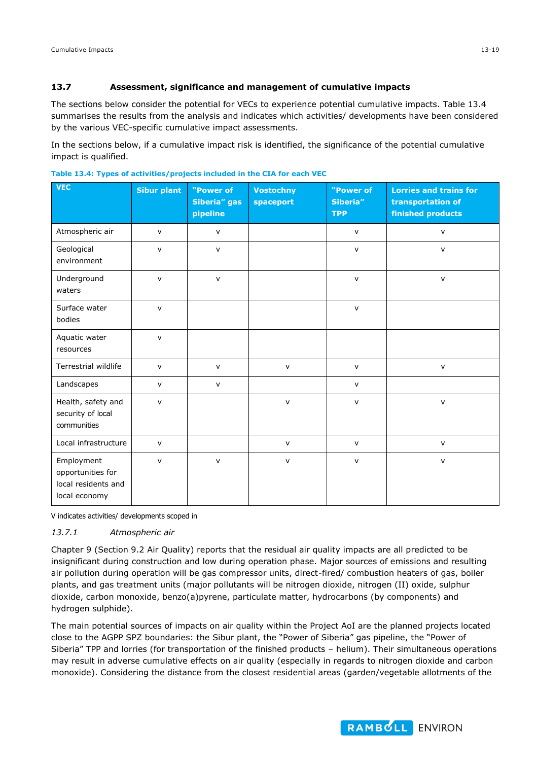#### **13.7 Assessment, significance and management of cumulative impacts**

The sections below consider the potential for VECs to experience potential cumulative impacts. Table 13.4 summarises the results from the analysis and indicates which activities/ developments have been considered by the various VEC-specific cumulative impact assessments.

In the sections below, if a cumulative impact risk is identified, the significance of the potential cumulative impact is qualified.

| <b>VEC</b>                                                              | <b>Sibur plant</b> | "Power of<br><b>Siberia"</b> gas<br>pipeline | <b>Vostochny</b><br>spaceport | "Power of<br>Siberia"<br><b>TPP</b> | <b>Lorries and trains for</b><br>transportation of<br>finished products |
|-------------------------------------------------------------------------|--------------------|----------------------------------------------|-------------------------------|-------------------------------------|-------------------------------------------------------------------------|
| Atmospheric air                                                         | V                  | v                                            |                               | $\mathsf{V}$                        | $\mathsf{v}$                                                            |
| Geological<br>environment                                               | $\mathsf{v}$       | $\mathsf{v}$                                 |                               | $\mathsf{v}$                        | $\mathsf{V}$                                                            |
| Underground<br>waters                                                   | $\mathsf{v}$       | $\mathsf{v}$                                 |                               | $\mathsf{v}$                        | $\mathsf{v}$                                                            |
| Surface water<br>bodies                                                 | $\mathsf{V}$       |                                              |                               | $\mathsf{V}$                        |                                                                         |
| Aquatic water<br>resources                                              | $\mathsf{v}$       |                                              |                               |                                     |                                                                         |
| Terrestrial wildlife                                                    | $\mathsf{V}$       | $\mathsf{v}$                                 | $\mathsf{V}$                  | $\mathsf{v}$                        | $\mathsf{V}$                                                            |
| Landscapes                                                              | $\mathsf{v}$       | $\mathsf{v}$                                 |                               | $\mathsf{v}$                        |                                                                         |
| Health, safety and<br>security of local<br>communities                  | $\mathsf{v}$       |                                              | $\mathsf{V}$                  | $\mathsf{v}$                        | $\mathsf{v}$                                                            |
| Local infrastructure                                                    | $\mathsf{V}$       |                                              | $\mathsf{V}$                  | $\mathsf{v}$                        | $\mathsf{v}$                                                            |
| Employment<br>opportunities for<br>local residents and<br>local economy | $\mathsf{v}$       | $\mathsf{v}$                                 | $\mathsf{V}$                  | $\mathsf{v}$                        | $\mathsf{V}$                                                            |

**Table 13.4: Types of activities/projects included in the CIA for each VEC**

V indicates activities/ developments scoped in

#### *13.7.1 Atmospheric air*

Chapter 9 (Section 9.2 Air Quality) reports that the residual air quality impacts are all predicted to be insignificant during construction and low during operation phase. Major sources of emissions and resulting air pollution during operation will be gas compressor units, direct-fired/ combustion heaters of gas, boiler plants, and gas treatment units (major pollutants will be nitrogen dioxide, nitrogen (II) oxide, sulphur dioxide, carbon monoxide, benzo(a)pyrene, particulate matter, hydrocarbons (by components) and hydrogen sulphide).

The main potential sources of impacts on air quality within the Project AoI are the planned projects located close to the AGPP SPZ boundaries: the Sibur plant, the "Power of Siberia" gas pipeline, the "Power of Siberia" TPP and lorries (for transportation of the finished products – helium). Their simultaneous operations may result in adverse cumulative effects on air quality (especially in regards to nitrogen dioxide and carbon monoxide). Considering the distance from the closest residential areas (garden/vegetable allotments of the

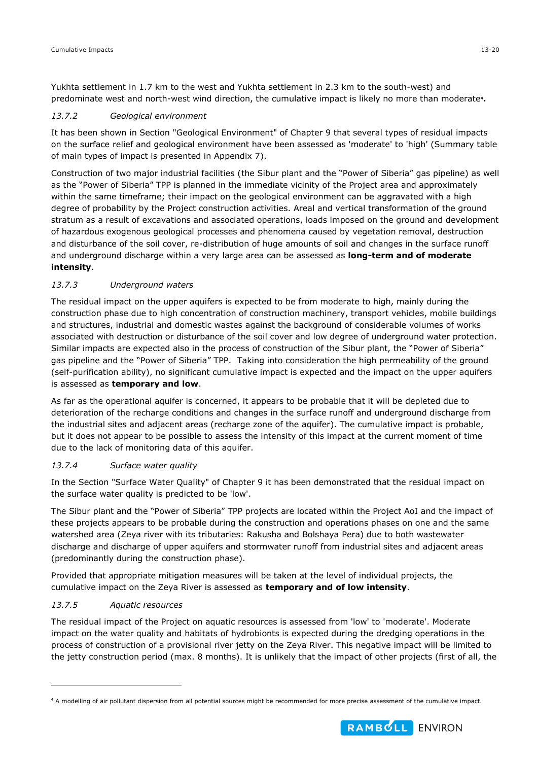Yukhta settlement in 1.7 km to the west and Yukhta settlement in 2.3 km to the south-west) and predominate west and north-west wind direction, the cumulative impact is likely no more than moderate**<sup>4</sup> .** 

## *13.7.2 Geological environment*

It has been shown in Section "Geological Environment" of Chapter 9 that several types of residual impacts on the surface relief and geological environment have been assessed as 'moderate' to 'high' (Summary table of main types of impact is presented in Appendix 7).

Construction of two major industrial facilities (the Sibur plant and the "Power of Siberia" gas pipeline) as well as the "Power of Siberia" TPP is planned in the immediate vicinity of the Project area and approximately within the same timeframe; their impact on the geological environment can be aggravated with a high degree of probability by the Project construction activities. Areal and vertical transformation of the ground stratum as a result of excavations and associated operations, loads imposed on the ground and development of hazardous exogenous geological processes and phenomena caused by vegetation removal, destruction and disturbance of the soil cover, re-distribution of huge amounts of soil and changes in the surface runoff and underground discharge within a very large area can be assessed as **long-term and of moderate intensity**.

## *13.7.3 Underground waters*

The residual impact on the upper aquifers is expected to be from moderate to high, mainly during the construction phase due to high concentration of construction machinery, transport vehicles, mobile buildings and structures, industrial and domestic wastes against the background of considerable volumes of works associated with destruction or disturbance of the soil cover and low degree of underground water protection. Similar impacts are expected also in the process of construction of the Sibur plant, the "Power of Siberia" gas pipeline and the "Power of Siberia" TPP. Taking into consideration the high permeability of the ground (self-purification ability), no significant cumulative impact is expected and the impact on the upper aquifers is assessed as **temporary and low**.

As far as the operational aquifer is concerned, it appears to be probable that it will be depleted due to deterioration of the recharge conditions and changes in the surface runoff and underground discharge from the industrial sites and adjacent areas (recharge zone of the aquifer). The cumulative impact is probable, but it does not appear to be possible to assess the intensity of this impact at the current moment of time due to the lack of monitoring data of this aquifer.

#### *13.7.4 Surface water quality*

In the Section "Surface Water Quality" of Chapter 9 it has been demonstrated that the residual impact on the surface water quality is predicted to be 'low'.

The Sibur plant and the "Power of Siberia" TPP projects are located within the Project AoI and the impact of these projects appears to be probable during the construction and operations phases on one and the same watershed area (Zeya river with its tributaries: Rakusha and Bolshaya Pera) due to both wastewater discharge and discharge of upper aquifers and stormwater runoff from industrial sites and adjacent areas (predominantly during the construction phase).

Provided that appropriate mitigation measures will be taken at the level of individual projects, the cumulative impact on the Zeya River is assessed as **temporary and of low intensity**.

## *13.7.5 Aquatic resources*

-

The residual impact of the Project on aquatic resources is assessed from 'low' to 'moderate'. Moderate impact on the water quality and habitats of hydrobionts is expected during the dredging operations in the process of construction of a provisional river jetty on the Zeya River. This negative impact will be limited to the jetty construction period (max. 8 months). It is unlikely that the impact of other projects (first of all, the



<sup>4</sup> A modelling of air pollutant dispersion from all potential sources might be recommended for more precise assessment of the cumulative impact.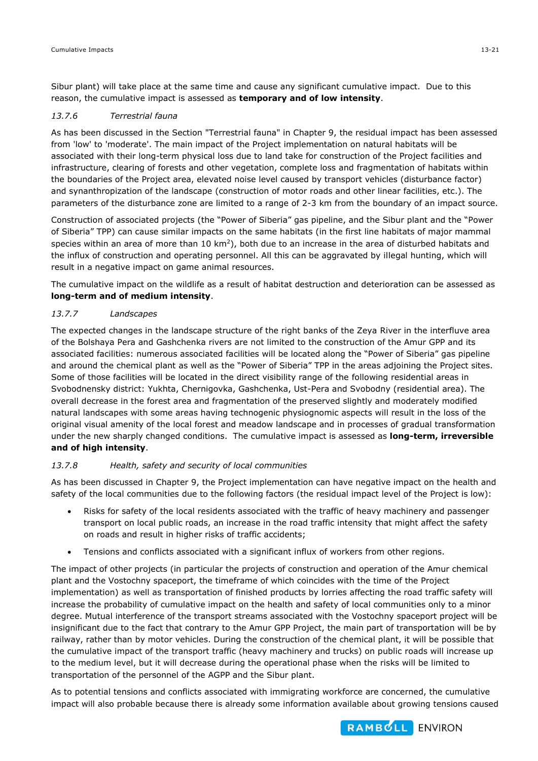Sibur plant) will take place at the same time and cause any significant cumulative impact. Due to this reason, the cumulative impact is assessed as **temporary and of low intensity**.

#### *13.7.6 Terrestrial fauna*

As has been discussed in the Section "Terrestrial fauna" in Chapter 9, the residual impact has been assessed from 'low' to 'moderate'. The main impact of the Project implementation on natural habitats will be associated with their long-term physical loss due to land take for construction of the Project facilities and infrastructure, clearing of forests and other vegetation, complete loss and fragmentation of habitats within the boundaries of the Project area, elevated noise level caused by transport vehicles (disturbance factor) and synanthropization of the landscape (construction of motor roads and other linear facilities, etc.). The parameters of the disturbance zone are limited to a range of 2-3 km from the boundary of an impact source.

Construction of associated projects (the "Power of Siberia" gas pipeline, and the Sibur plant and the "Power of Siberia" TPP) can cause similar impacts on the same habitats (in the first line habitats of major mammal species within an area of more than  $10 \text{ km}^2$ ), both due to an increase in the area of disturbed habitats and the influx of construction and operating personnel. All this can be aggravated by illegal hunting, which will result in a negative impact on game animal resources.

The cumulative impact on the wildlife as a result of habitat destruction and deterioration can be assessed as **long-term and of medium intensity**.

## *13.7.7 Landscapes*

The expected changes in the landscape structure of the right banks of the Zeya River in the interfluve area of the Bolshaya Pera and Gashchenka rivers are not limited to the construction of the Amur GPP and its associated facilities: numerous associated facilities will be located along the "Power of Siberia" gas pipeline and around the chemical plant as well as the "Power of Siberia" TPP in the areas adjoining the Project sites. Some of those facilities will be located in the direct visibility range of the following residential areas in Svobodnensky district: Yukhta, Chernigovka, Gashchenka, Ust-Pera and Svobodny (residential area). The overall decrease in the forest area and fragmentation of the preserved slightly and moderately modified natural landscapes with some areas having technogenic physiognomic aspects will result in the loss of the original visual amenity of the local forest and meadow landscape and in processes of gradual transformation under the new sharply changed conditions. The cumulative impact is assessed as **long-term, irreversible and of high intensity**.

#### *13.7.8 Health, safety and security of local communities*

As has been discussed in Chapter 9, the Project implementation can have negative impact on the health and safety of the local communities due to the following factors (the residual impact level of the Project is low):

- Risks for safety of the local residents associated with the traffic of heavy machinery and passenger transport on local public roads, an increase in the road traffic intensity that might affect the safety on roads and result in higher risks of traffic accidents;
- Tensions and conflicts associated with a significant influx of workers from other regions.

The impact of other projects (in particular the projects of construction and operation of the Amur chemical plant and the Vostochny spaceport, the timeframe of which coincides with the time of the Project implementation) as well as transportation of finished products by lorries affecting the road traffic safety will increase the probability of cumulative impact on the health and safety of local communities only to a minor degree. Mutual interference of the transport streams associated with the Vostochny spaceport project will be insignificant due to the fact that contrary to the Amur GPP Project, the main part of transportation will be by railway, rather than by motor vehicles. During the construction of the chemical plant, it will be possible that the cumulative impact of the transport traffic (heavy machinery and trucks) on public roads will increase up to the medium level, but it will decrease during the operational phase when the risks will be limited to transportation of the personnel of the AGPP and the Sibur plant.

As to potential tensions and conflicts associated with immigrating workforce are concerned, the cumulative impact will also probable because there is already some information available about growing tensions caused

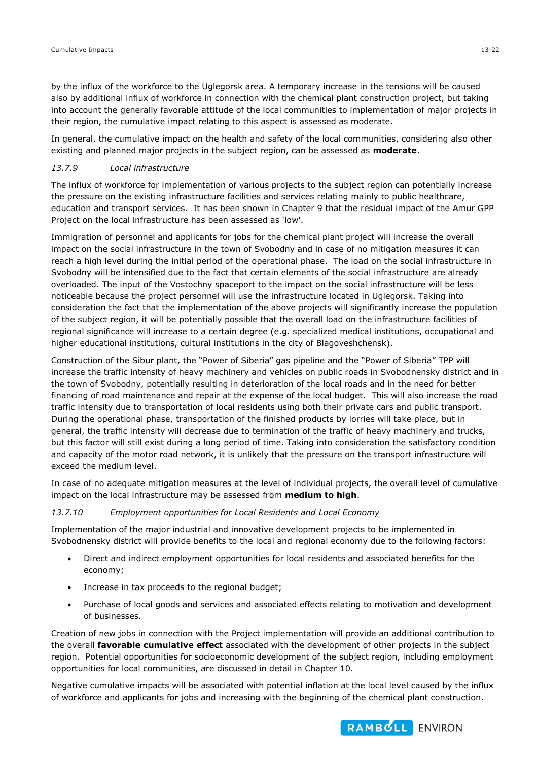by the influx of the workforce to the Uglegorsk area. A temporary increase in the tensions will be caused also by additional influx of workforce in connection with the chemical plant construction project, but taking into account the generally favorable attitude of the local communities to implementation of major projects in their region, the cumulative impact relating to this aspect is assessed as moderate.

In general, the cumulative impact on the health and safety of the local communities, considering also other existing and planned major projects in the subject region, can be assessed as **moderate**.

## *13.7.9 Local infrastructure*

The influx of workforce for implementation of various projects to the subject region can potentially increase the pressure on the existing infrastructure facilities and services relating mainly to public healthcare, education and transport services. It has been shown in Chapter 9 that the residual impact of the Amur GPP Project on the local infrastructure has been assessed as 'low'.

Immigration of personnel and applicants for jobs for the chemical plant project will increase the overall impact on the social infrastructure in the town of Svobodny and in case of no mitigation measures it can reach a high level during the initial period of the operational phase. The load on the social infrastructure in Svobodny will be intensified due to the fact that certain elements of the social infrastructure are already overloaded. The input of the Vostochny spaceport to the impact on the social infrastructure will be less noticeable because the project personnel will use the infrastructure located in Uglegorsk. Taking into consideration the fact that the implementation of the above projects will significantly increase the population of the subject region, it will be potentially possible that the overall load on the infrastructure facilities of regional significance will increase to a certain degree (e.g. specialized medical institutions, occupational and higher educational institutions, cultural institutions in the city of Blagoveshchensk).

Construction of the Sibur plant, the "Power of Siberia" gas pipeline and the "Power of Siberia" TPP will increase the traffic intensity of heavy machinery and vehicles on public roads in Svobodnensky district and in the town of Svobodny, potentially resulting in deterioration of the local roads and in the need for better financing of road maintenance and repair at the expense of the local budget. This will also increase the road traffic intensity due to transportation of local residents using both their private cars and public transport. During the operational phase, transportation of the finished products by lorries will take place, but in general, the traffic intensity will decrease due to termination of the traffic of heavy machinery and trucks, but this factor will still exist during a long period of time. Taking into consideration the satisfactory condition and capacity of the motor road network, it is unlikely that the pressure on the transport infrastructure will exceed the medium level.

In case of no adequate mitigation measures at the level of individual projects, the overall level of cumulative impact on the local infrastructure may be assessed from **medium to high**.

#### *13.7.10 Employment opportunities for Local Residents and Local Economy*

Implementation of the major industrial and innovative development projects to be implemented in Svobodnensky district will provide benefits to the local and regional economy due to the following factors:

- Direct and indirect employment opportunities for local residents and associated benefits for the economy;
- Increase in tax proceeds to the regional budget;
- Purchase of local goods and services and associated effects relating to motivation and development of businesses.

Creation of new jobs in connection with the Project implementation will provide an additional contribution to the overall **favorable cumulative effect** associated with the development of other projects in the subject region. Potential opportunities for socioeconomic development of the subject region, including employment opportunities for local communities, are discussed in detail in Chapter 10.

Negative cumulative impacts will be associated with potential inflation at the local level caused by the influx of workforce and applicants for jobs and increasing with the beginning of the chemical plant construction.

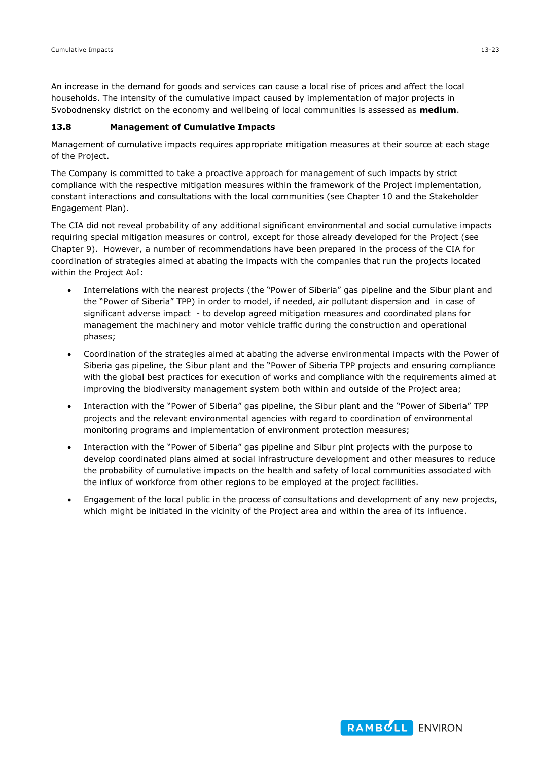An increase in the demand for goods and services can cause a local rise of prices and affect the local households. The intensity of the cumulative impact caused by implementation of major projects in Svobodnensky district on the economy and wellbeing of local communities is assessed as **medium**.

#### **13.8 Management of Cumulative Impacts**

Management of cumulative impacts requires appropriate mitigation measures at their source at each stage of the Project.

The Company is committed to take a proactive approach for management of such impacts by strict compliance with the respective mitigation measures within the framework of the Project implementation, constant interactions and consultations with the local communities (see Chapter 10 and the Stakeholder Engagement Plan).

The CIA did not reveal probability of any additional significant environmental and social cumulative impacts requiring special mitigation measures or control, except for those already developed for the Project (see Chapter 9). However, a number of recommendations have been prepared in the process of the CIA for coordination of strategies aimed at abating the impacts with the companies that run the projects located within the Project AoI:

- Interrelations with the nearest projects (the "Power of Siberia" gas pipeline and the Sibur plant and the "Power of Siberia" TPP) in order to model, if needed, air pollutant dispersion and in case of significant adverse impact - to develop agreed mitigation measures and coordinated plans for management the machinery and motor vehicle traffic during the construction and operational phases;
- Coordination of the strategies aimed at abating the adverse environmental impacts with the Power of Siberia gas pipeline, the Sibur plant and the "Power of Siberia TPP projects and ensuring compliance with the global best practices for execution of works and compliance with the requirements aimed at improving the biodiversity management system both within and outside of the Project area;
- Interaction with the "Power of Siberia" gas pipeline, the Sibur plant and the "Power of Siberia" TPP projects and the relevant environmental agencies with regard to coordination of environmental monitoring programs and implementation of environment protection measures;
- Interaction with the "Power of Siberia" gas pipeline and Sibur plnt projects with the purpose to develop coordinated plans aimed at social infrastructure development and other measures to reduce the probability of cumulative impacts on the health and safety of local communities associated with the influx of workforce from other regions to be employed at the project facilities.
- Engagement of the local public in the process of consultations and development of any new projects, which might be initiated in the vicinity of the Project area and within the area of its influence.